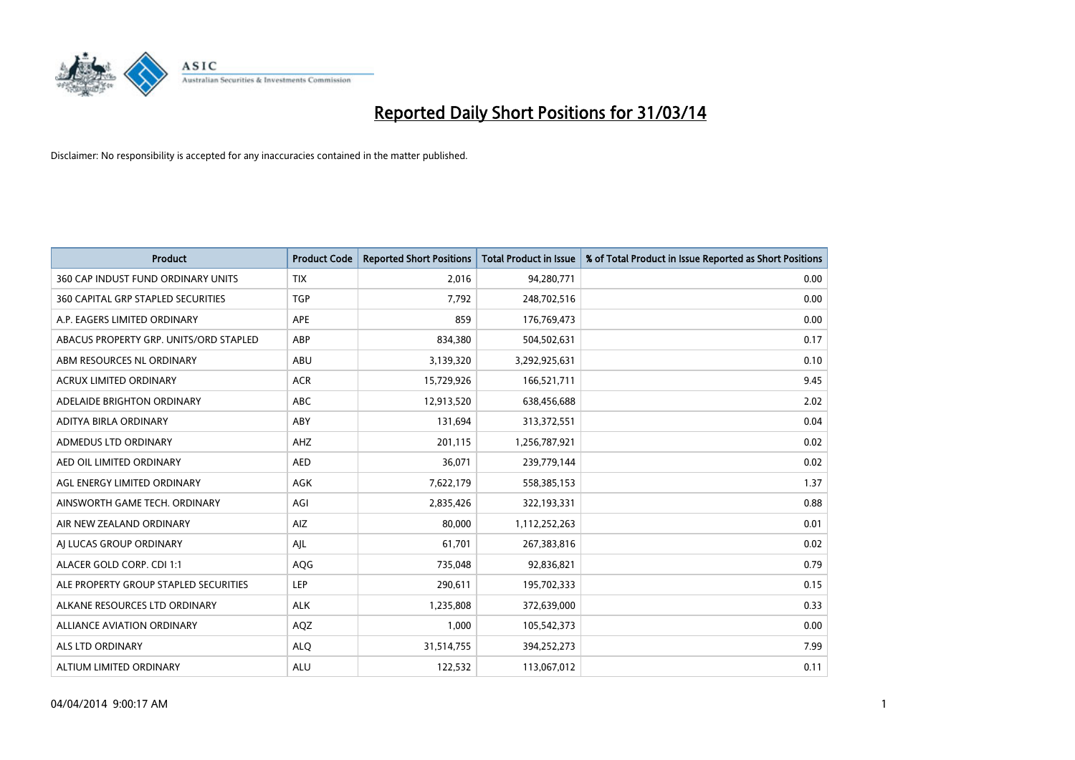

| <b>Product</b>                            | <b>Product Code</b> | <b>Reported Short Positions</b> | Total Product in Issue | % of Total Product in Issue Reported as Short Positions |
|-------------------------------------------|---------------------|---------------------------------|------------------------|---------------------------------------------------------|
| 360 CAP INDUST FUND ORDINARY UNITS        | <b>TIX</b>          | 2,016                           | 94,280,771             | 0.00                                                    |
| <b>360 CAPITAL GRP STAPLED SECURITIES</b> | <b>TGP</b>          | 7,792                           | 248,702,516            | 0.00                                                    |
| A.P. EAGERS LIMITED ORDINARY              | APE                 | 859                             | 176,769,473            | 0.00                                                    |
| ABACUS PROPERTY GRP. UNITS/ORD STAPLED    | ABP                 | 834,380                         | 504,502,631            | 0.17                                                    |
| ABM RESOURCES NL ORDINARY                 | ABU                 | 3,139,320                       | 3,292,925,631          | 0.10                                                    |
| ACRUX LIMITED ORDINARY                    | <b>ACR</b>          | 15,729,926                      | 166,521,711            | 9.45                                                    |
| ADELAIDE BRIGHTON ORDINARY                | <b>ABC</b>          | 12,913,520                      | 638,456,688            | 2.02                                                    |
| ADITYA BIRLA ORDINARY                     | ABY                 | 131,694                         | 313,372,551            | 0.04                                                    |
| ADMEDUS LTD ORDINARY                      | AHZ                 | 201,115                         | 1,256,787,921          | 0.02                                                    |
| AED OIL LIMITED ORDINARY                  | <b>AED</b>          | 36,071                          | 239,779,144            | 0.02                                                    |
| AGL ENERGY LIMITED ORDINARY               | AGK                 | 7,622,179                       | 558,385,153            | 1.37                                                    |
| AINSWORTH GAME TECH. ORDINARY             | AGI                 | 2,835,426                       | 322,193,331            | 0.88                                                    |
| AIR NEW ZEALAND ORDINARY                  | AIZ                 | 80,000                          | 1,112,252,263          | 0.01                                                    |
| AI LUCAS GROUP ORDINARY                   | AJL                 | 61,701                          | 267,383,816            | 0.02                                                    |
| ALACER GOLD CORP. CDI 1:1                 | AQG                 | 735,048                         | 92,836,821             | 0.79                                                    |
| ALE PROPERTY GROUP STAPLED SECURITIES     | <b>LEP</b>          | 290,611                         | 195,702,333            | 0.15                                                    |
| ALKANE RESOURCES LTD ORDINARY             | <b>ALK</b>          | 1,235,808                       | 372,639,000            | 0.33                                                    |
| <b>ALLIANCE AVIATION ORDINARY</b>         | AQZ                 | 1.000                           | 105,542,373            | 0.00                                                    |
| ALS LTD ORDINARY                          | <b>ALQ</b>          | 31,514,755                      | 394,252,273            | 7.99                                                    |
| ALTIUM LIMITED ORDINARY                   | ALU                 | 122,532                         | 113,067,012            | 0.11                                                    |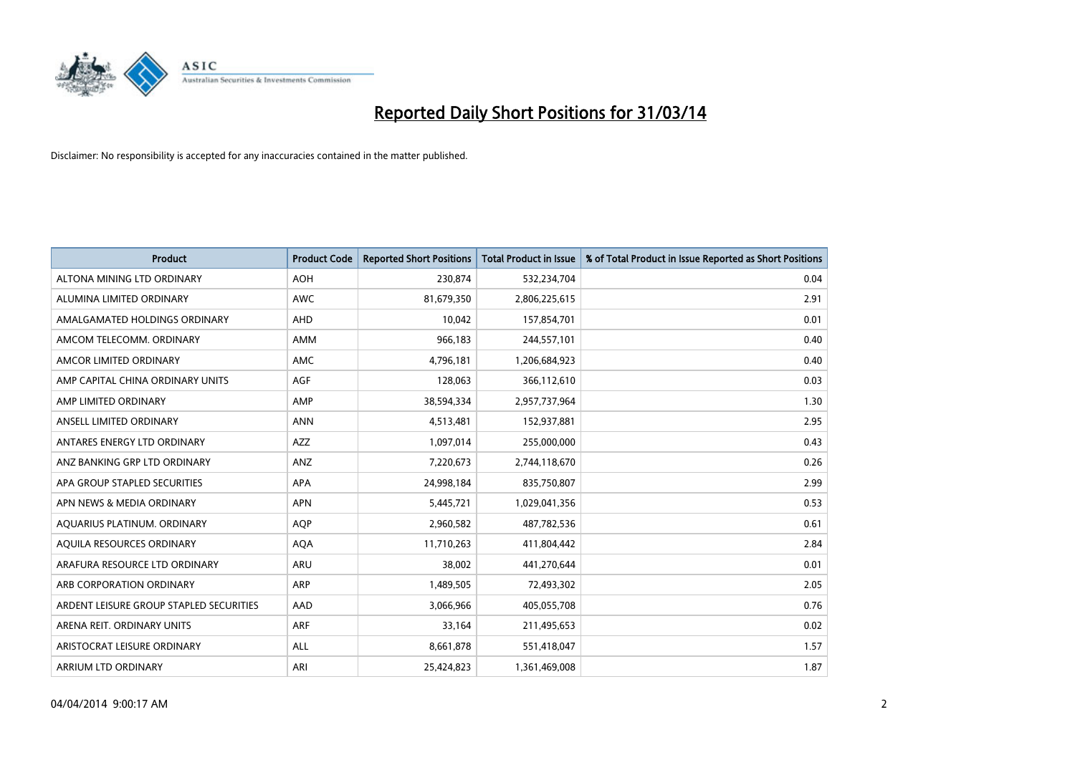

| <b>Product</b>                          | <b>Product Code</b> | <b>Reported Short Positions</b> | <b>Total Product in Issue</b> | % of Total Product in Issue Reported as Short Positions |
|-----------------------------------------|---------------------|---------------------------------|-------------------------------|---------------------------------------------------------|
| ALTONA MINING LTD ORDINARY              | <b>AOH</b>          | 230,874                         | 532,234,704                   | 0.04                                                    |
| ALUMINA LIMITED ORDINARY                | AWC                 | 81,679,350                      | 2,806,225,615                 | 2.91                                                    |
| AMALGAMATED HOLDINGS ORDINARY           | AHD                 | 10,042                          | 157,854,701                   | 0.01                                                    |
| AMCOM TELECOMM. ORDINARY                | AMM                 | 966,183                         | 244,557,101                   | 0.40                                                    |
| AMCOR LIMITED ORDINARY                  | AMC                 | 4,796,181                       | 1,206,684,923                 | 0.40                                                    |
| AMP CAPITAL CHINA ORDINARY UNITS        | <b>AGF</b>          | 128,063                         | 366,112,610                   | 0.03                                                    |
| AMP LIMITED ORDINARY                    | AMP                 | 38,594,334                      | 2,957,737,964                 | 1.30                                                    |
| ANSELL LIMITED ORDINARY                 | <b>ANN</b>          | 4,513,481                       | 152,937,881                   | 2.95                                                    |
| ANTARES ENERGY LTD ORDINARY             | <b>AZZ</b>          | 1,097,014                       | 255,000,000                   | 0.43                                                    |
| ANZ BANKING GRP LTD ORDINARY            | ANZ                 | 7,220,673                       | 2,744,118,670                 | 0.26                                                    |
| APA GROUP STAPLED SECURITIES            | APA                 | 24,998,184                      | 835,750,807                   | 2.99                                                    |
| APN NEWS & MEDIA ORDINARY               | <b>APN</b>          | 5,445,721                       | 1,029,041,356                 | 0.53                                                    |
| AQUARIUS PLATINUM. ORDINARY             | <b>AOP</b>          | 2,960,582                       | 487,782,536                   | 0.61                                                    |
| AQUILA RESOURCES ORDINARY               | <b>AQA</b>          | 11,710,263                      | 411,804,442                   | 2.84                                                    |
| ARAFURA RESOURCE LTD ORDINARY           | <b>ARU</b>          | 38,002                          | 441,270,644                   | 0.01                                                    |
| ARB CORPORATION ORDINARY                | ARP                 | 1,489,505                       | 72,493,302                    | 2.05                                                    |
| ARDENT LEISURE GROUP STAPLED SECURITIES | AAD                 | 3,066,966                       | 405,055,708                   | 0.76                                                    |
| ARENA REIT. ORDINARY UNITS              | <b>ARF</b>          | 33,164                          | 211,495,653                   | 0.02                                                    |
| ARISTOCRAT LEISURE ORDINARY             | ALL                 | 8,661,878                       | 551,418,047                   | 1.57                                                    |
| ARRIUM LTD ORDINARY                     | ARI                 | 25,424,823                      | 1,361,469,008                 | 1.87                                                    |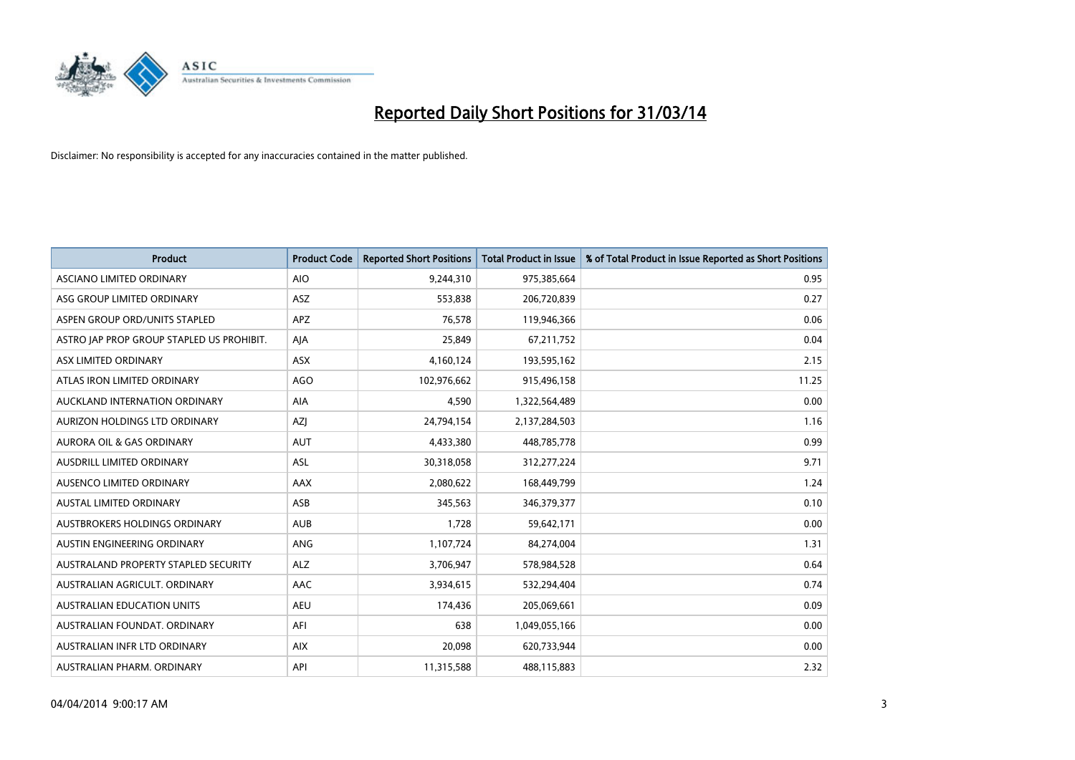

| <b>Product</b>                            | <b>Product Code</b> | <b>Reported Short Positions</b> | <b>Total Product in Issue</b> | % of Total Product in Issue Reported as Short Positions |
|-------------------------------------------|---------------------|---------------------------------|-------------------------------|---------------------------------------------------------|
| ASCIANO LIMITED ORDINARY                  | <b>AIO</b>          | 9,244,310                       | 975,385,664                   | 0.95                                                    |
| ASG GROUP LIMITED ORDINARY                | ASZ                 | 553,838                         | 206,720,839                   | 0.27                                                    |
| ASPEN GROUP ORD/UNITS STAPLED             | <b>APZ</b>          | 76,578                          | 119,946,366                   | 0.06                                                    |
| ASTRO JAP PROP GROUP STAPLED US PROHIBIT. | AJA                 | 25,849                          | 67,211,752                    | 0.04                                                    |
| ASX LIMITED ORDINARY                      | ASX                 | 4,160,124                       | 193,595,162                   | 2.15                                                    |
| ATLAS IRON LIMITED ORDINARY               | <b>AGO</b>          | 102,976,662                     | 915,496,158                   | 11.25                                                   |
| AUCKLAND INTERNATION ORDINARY             | AIA                 | 4,590                           | 1,322,564,489                 | 0.00                                                    |
| AURIZON HOLDINGS LTD ORDINARY             | AZJ                 | 24,794,154                      | 2,137,284,503                 | 1.16                                                    |
| <b>AURORA OIL &amp; GAS ORDINARY</b>      | <b>AUT</b>          | 4,433,380                       | 448,785,778                   | 0.99                                                    |
| AUSDRILL LIMITED ORDINARY                 | ASL                 | 30,318,058                      | 312,277,224                   | 9.71                                                    |
| AUSENCO LIMITED ORDINARY                  | AAX                 | 2,080,622                       | 168,449,799                   | 1.24                                                    |
| <b>AUSTAL LIMITED ORDINARY</b>            | ASB                 | 345,563                         | 346, 379, 377                 | 0.10                                                    |
| AUSTBROKERS HOLDINGS ORDINARY             | <b>AUB</b>          | 1,728                           | 59,642,171                    | 0.00                                                    |
| AUSTIN ENGINEERING ORDINARY               | ANG                 | 1,107,724                       | 84,274,004                    | 1.31                                                    |
| AUSTRALAND PROPERTY STAPLED SECURITY      | <b>ALZ</b>          | 3,706,947                       | 578,984,528                   | 0.64                                                    |
| AUSTRALIAN AGRICULT. ORDINARY             | AAC                 | 3,934,615                       | 532,294,404                   | 0.74                                                    |
| <b>AUSTRALIAN EDUCATION UNITS</b>         | <b>AEU</b>          | 174,436                         | 205,069,661                   | 0.09                                                    |
| AUSTRALIAN FOUNDAT, ORDINARY              | AFI                 | 638                             | 1,049,055,166                 | 0.00                                                    |
| AUSTRALIAN INFR LTD ORDINARY              | <b>AIX</b>          | 20,098                          | 620,733,944                   | 0.00                                                    |
| AUSTRALIAN PHARM. ORDINARY                | API                 | 11,315,588                      | 488,115,883                   | 2.32                                                    |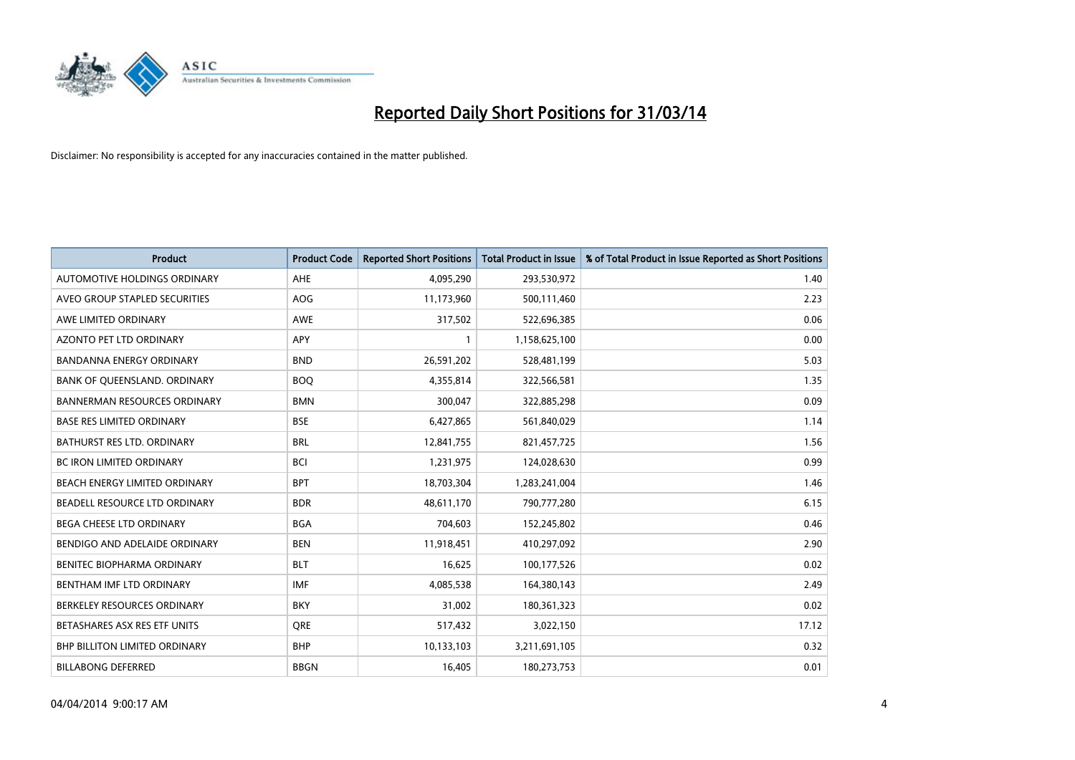

| <b>Product</b>                       | <b>Product Code</b> | <b>Reported Short Positions</b> | <b>Total Product in Issue</b> | % of Total Product in Issue Reported as Short Positions |
|--------------------------------------|---------------------|---------------------------------|-------------------------------|---------------------------------------------------------|
| <b>AUTOMOTIVE HOLDINGS ORDINARY</b>  | AHE                 | 4,095,290                       | 293,530,972                   | 1.40                                                    |
| AVEO GROUP STAPLED SECURITIES        | <b>AOG</b>          | 11,173,960                      | 500,111,460                   | 2.23                                                    |
| AWE LIMITED ORDINARY                 | <b>AWE</b>          | 317,502                         | 522,696,385                   | 0.06                                                    |
| <b>AZONTO PET LTD ORDINARY</b>       | APY                 | $\mathbf{1}$                    | 1,158,625,100                 | 0.00                                                    |
| <b>BANDANNA ENERGY ORDINARY</b>      | <b>BND</b>          | 26,591,202                      | 528,481,199                   | 5.03                                                    |
| BANK OF QUEENSLAND. ORDINARY         | <b>BOQ</b>          | 4,355,814                       | 322,566,581                   | 1.35                                                    |
| <b>BANNERMAN RESOURCES ORDINARY</b>  | <b>BMN</b>          | 300,047                         | 322,885,298                   | 0.09                                                    |
| <b>BASE RES LIMITED ORDINARY</b>     | <b>BSE</b>          | 6,427,865                       | 561,840,029                   | 1.14                                                    |
| <b>BATHURST RES LTD. ORDINARY</b>    | <b>BRL</b>          | 12,841,755                      | 821,457,725                   | 1.56                                                    |
| <b>BC IRON LIMITED ORDINARY</b>      | <b>BCI</b>          | 1,231,975                       | 124,028,630                   | 0.99                                                    |
| BEACH ENERGY LIMITED ORDINARY        | <b>BPT</b>          | 18,703,304                      | 1,283,241,004                 | 1.46                                                    |
| BEADELL RESOURCE LTD ORDINARY        | <b>BDR</b>          | 48,611,170                      | 790,777,280                   | 6.15                                                    |
| BEGA CHEESE LTD ORDINARY             | <b>BGA</b>          | 704,603                         | 152,245,802                   | 0.46                                                    |
| BENDIGO AND ADELAIDE ORDINARY        | <b>BEN</b>          | 11,918,451                      | 410,297,092                   | 2.90                                                    |
| BENITEC BIOPHARMA ORDINARY           | <b>BLT</b>          | 16,625                          | 100,177,526                   | 0.02                                                    |
| BENTHAM IMF LTD ORDINARY             | <b>IMF</b>          | 4,085,538                       | 164,380,143                   | 2.49                                                    |
| BERKELEY RESOURCES ORDINARY          | <b>BKY</b>          | 31,002                          | 180,361,323                   | 0.02                                                    |
| BETASHARES ASX RES ETF UNITS         | <b>ORE</b>          | 517,432                         | 3,022,150                     | 17.12                                                   |
| <b>BHP BILLITON LIMITED ORDINARY</b> | <b>BHP</b>          | 10,133,103                      | 3,211,691,105                 | 0.32                                                    |
| <b>BILLABONG DEFERRED</b>            | <b>BBGN</b>         | 16,405                          | 180,273,753                   | 0.01                                                    |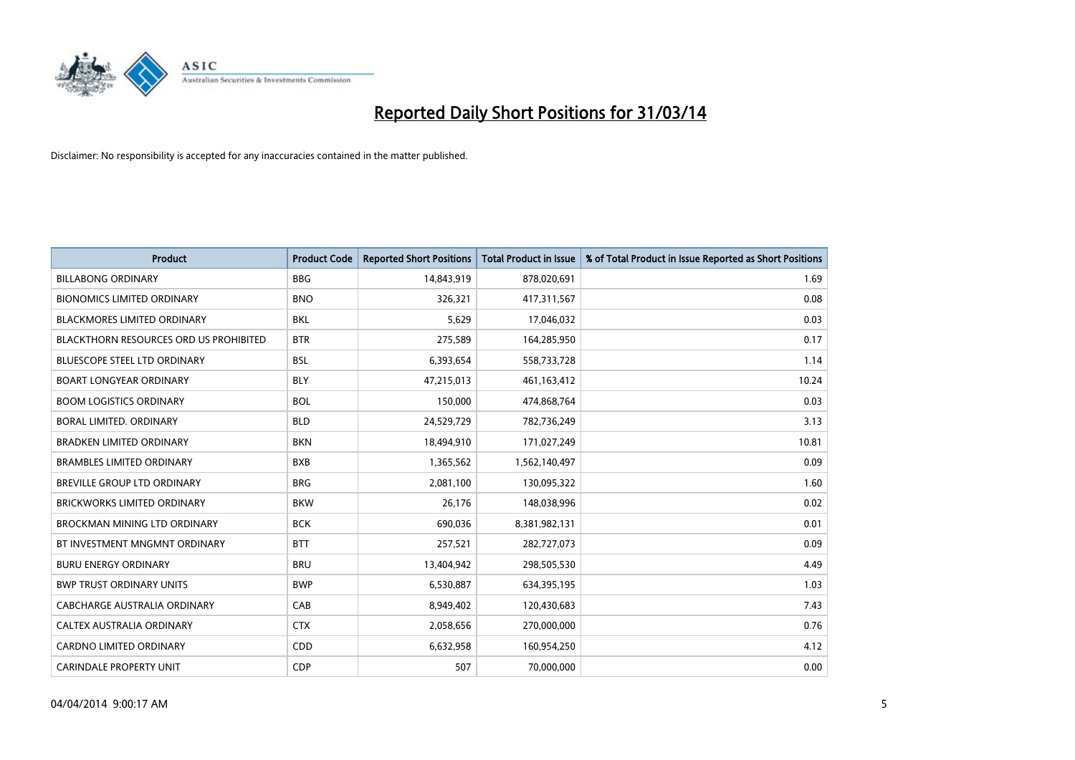

| <b>Product</b>                         | <b>Product Code</b> | <b>Reported Short Positions</b> | <b>Total Product in Issue</b> | % of Total Product in Issue Reported as Short Positions |
|----------------------------------------|---------------------|---------------------------------|-------------------------------|---------------------------------------------------------|
| <b>BILLABONG ORDINARY</b>              | <b>BBG</b>          | 14,843,919                      | 878,020,691                   | 1.69                                                    |
| <b>BIONOMICS LIMITED ORDINARY</b>      | <b>BNO</b>          | 326,321                         | 417,311,567                   | 0.08                                                    |
| <b>BLACKMORES LIMITED ORDINARY</b>     | <b>BKL</b>          | 5,629                           | 17,046,032                    | 0.03                                                    |
| BLACKTHORN RESOURCES ORD US PROHIBITED | <b>BTR</b>          | 275,589                         | 164,285,950                   | 0.17                                                    |
| <b>BLUESCOPE STEEL LTD ORDINARY</b>    | <b>BSL</b>          | 6,393,654                       | 558,733,728                   | 1.14                                                    |
| <b>BOART LONGYEAR ORDINARY</b>         | <b>BLY</b>          | 47,215,013                      | 461,163,412                   | 10.24                                                   |
| <b>BOOM LOGISTICS ORDINARY</b>         | <b>BOL</b>          | 150,000                         | 474,868,764                   | 0.03                                                    |
| BORAL LIMITED, ORDINARY                | <b>BLD</b>          | 24,529,729                      | 782,736,249                   | 3.13                                                    |
| <b>BRADKEN LIMITED ORDINARY</b>        | <b>BKN</b>          | 18,494,910                      | 171,027,249                   | 10.81                                                   |
| <b>BRAMBLES LIMITED ORDINARY</b>       | <b>BXB</b>          | 1,365,562                       | 1,562,140,497                 | 0.09                                                    |
| BREVILLE GROUP LTD ORDINARY            | <b>BRG</b>          | 2,081,100                       | 130,095,322                   | 1.60                                                    |
| <b>BRICKWORKS LIMITED ORDINARY</b>     | <b>BKW</b>          | 26,176                          | 148,038,996                   | 0.02                                                    |
| <b>BROCKMAN MINING LTD ORDINARY</b>    | <b>BCK</b>          | 690,036                         | 8,381,982,131                 | 0.01                                                    |
| BT INVESTMENT MNGMNT ORDINARY          | <b>BTT</b>          | 257,521                         | 282,727,073                   | 0.09                                                    |
| <b>BURU ENERGY ORDINARY</b>            | <b>BRU</b>          | 13,404,942                      | 298,505,530                   | 4.49                                                    |
| <b>BWP TRUST ORDINARY UNITS</b>        | <b>BWP</b>          | 6,530,887                       | 634,395,195                   | 1.03                                                    |
| <b>CABCHARGE AUSTRALIA ORDINARY</b>    | CAB                 | 8,949,402                       | 120,430,683                   | 7.43                                                    |
| CALTEX AUSTRALIA ORDINARY              | <b>CTX</b>          | 2,058,656                       | 270,000,000                   | 0.76                                                    |
| <b>CARDNO LIMITED ORDINARY</b>         | CDD                 | 6,632,958                       | 160,954,250                   | 4.12                                                    |
| <b>CARINDALE PROPERTY UNIT</b>         | <b>CDP</b>          | 507                             | 70,000,000                    | 0.00                                                    |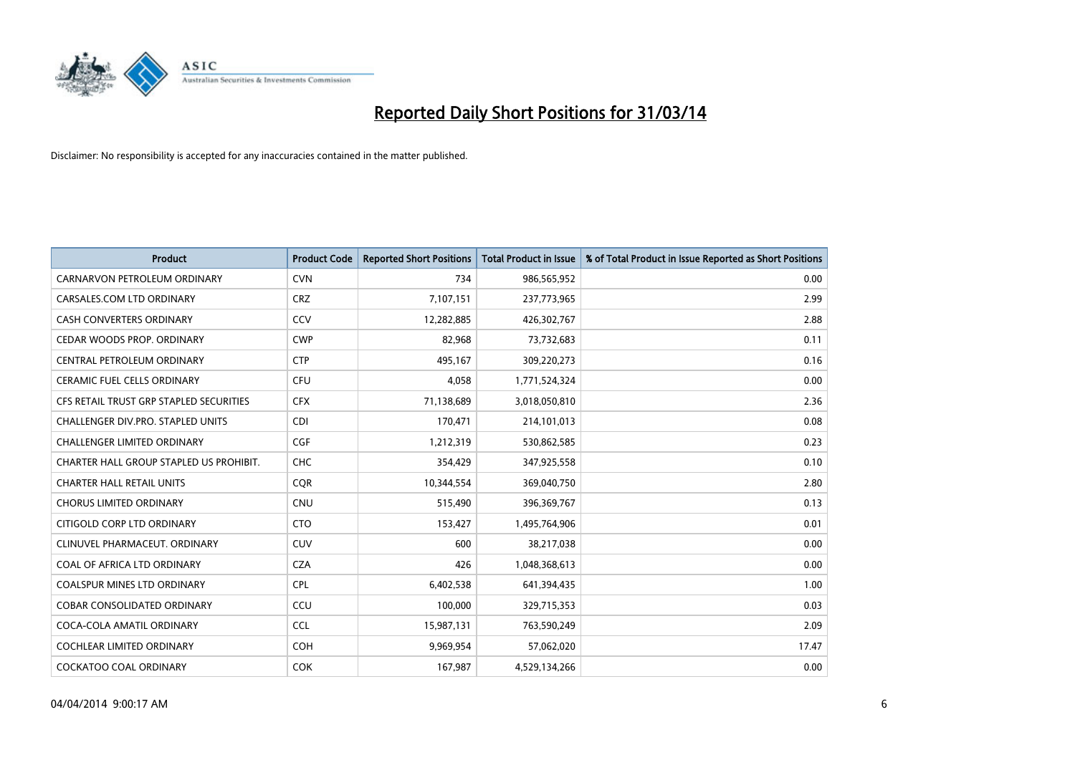

| <b>Product</b>                          | <b>Product Code</b> | <b>Reported Short Positions</b> | <b>Total Product in Issue</b> | % of Total Product in Issue Reported as Short Positions |
|-----------------------------------------|---------------------|---------------------------------|-------------------------------|---------------------------------------------------------|
| CARNARVON PETROLEUM ORDINARY            | <b>CVN</b>          | 734                             | 986,565,952                   | 0.00                                                    |
| CARSALES.COM LTD ORDINARY               | <b>CRZ</b>          | 7,107,151                       | 237,773,965                   | 2.99                                                    |
| CASH CONVERTERS ORDINARY                | CCV                 | 12,282,885                      | 426,302,767                   | 2.88                                                    |
| CEDAR WOODS PROP. ORDINARY              | <b>CWP</b>          | 82,968                          | 73,732,683                    | 0.11                                                    |
| CENTRAL PETROLEUM ORDINARY              | <b>CTP</b>          | 495,167                         | 309,220,273                   | 0.16                                                    |
| <b>CERAMIC FUEL CELLS ORDINARY</b>      | <b>CFU</b>          | 4,058                           | 1,771,524,324                 | 0.00                                                    |
| CFS RETAIL TRUST GRP STAPLED SECURITIES | <b>CFX</b>          | 71,138,689                      | 3,018,050,810                 | 2.36                                                    |
| CHALLENGER DIV.PRO. STAPLED UNITS       | <b>CDI</b>          | 170,471                         | 214,101,013                   | 0.08                                                    |
| <b>CHALLENGER LIMITED ORDINARY</b>      | <b>CGF</b>          | 1,212,319                       | 530,862,585                   | 0.23                                                    |
| CHARTER HALL GROUP STAPLED US PROHIBIT. | <b>CHC</b>          | 354,429                         | 347,925,558                   | 0.10                                                    |
| <b>CHARTER HALL RETAIL UNITS</b>        | <b>CQR</b>          | 10,344,554                      | 369,040,750                   | 2.80                                                    |
| <b>CHORUS LIMITED ORDINARY</b>          | <b>CNU</b>          | 515,490                         | 396,369,767                   | 0.13                                                    |
| CITIGOLD CORP LTD ORDINARY              | <b>CTO</b>          | 153,427                         | 1,495,764,906                 | 0.01                                                    |
| CLINUVEL PHARMACEUT, ORDINARY           | <b>CUV</b>          | 600                             | 38,217,038                    | 0.00                                                    |
| COAL OF AFRICA LTD ORDINARY             | <b>CZA</b>          | 426                             | 1,048,368,613                 | 0.00                                                    |
| <b>COALSPUR MINES LTD ORDINARY</b>      | <b>CPL</b>          | 6,402,538                       | 641,394,435                   | 1.00                                                    |
| <b>COBAR CONSOLIDATED ORDINARY</b>      | CCU                 | 100,000                         | 329,715,353                   | 0.03                                                    |
| COCA-COLA AMATIL ORDINARY               | <b>CCL</b>          | 15,987,131                      | 763,590,249                   | 2.09                                                    |
| <b>COCHLEAR LIMITED ORDINARY</b>        | <b>COH</b>          | 9,969,954                       | 57,062,020                    | 17.47                                                   |
| <b>COCKATOO COAL ORDINARY</b>           | <b>COK</b>          | 167,987                         | 4,529,134,266                 | 0.00                                                    |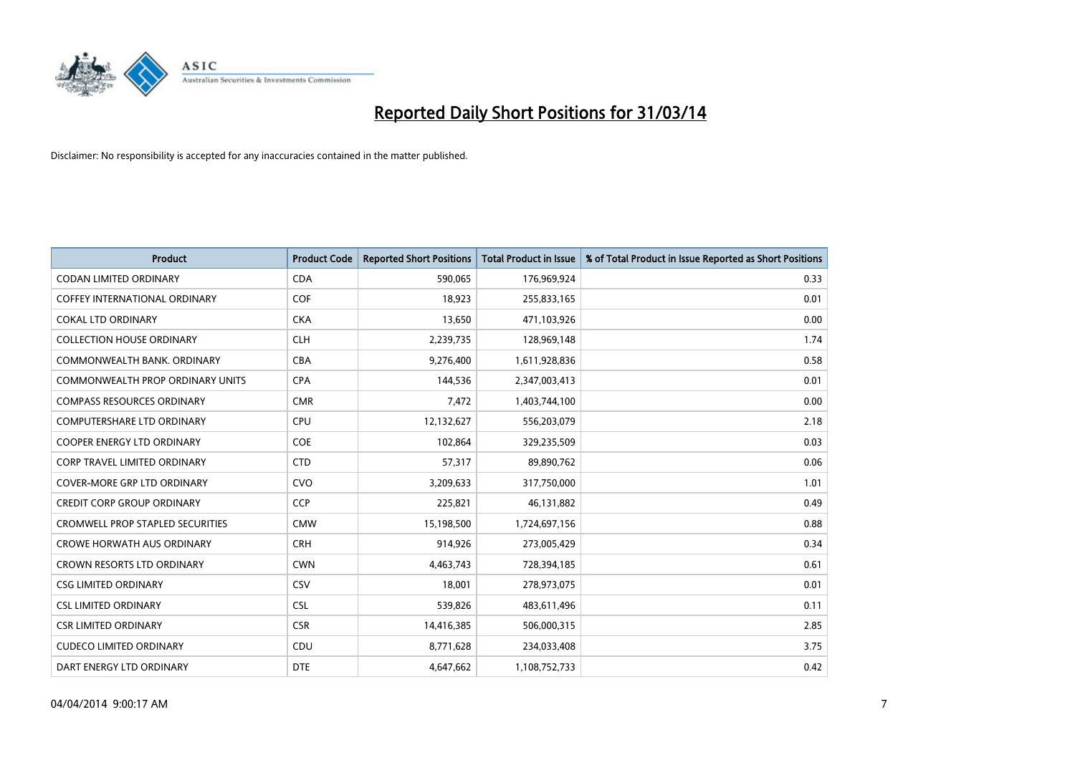

| Product                                 | <b>Product Code</b> | <b>Reported Short Positions</b> | <b>Total Product in Issue</b> | % of Total Product in Issue Reported as Short Positions |
|-----------------------------------------|---------------------|---------------------------------|-------------------------------|---------------------------------------------------------|
| <b>CODAN LIMITED ORDINARY</b>           | <b>CDA</b>          | 590,065                         | 176,969,924                   | 0.33                                                    |
| COFFEY INTERNATIONAL ORDINARY           | <b>COF</b>          | 18,923                          | 255,833,165                   | 0.01                                                    |
| <b>COKAL LTD ORDINARY</b>               | <b>CKA</b>          | 13,650                          | 471,103,926                   | 0.00                                                    |
| <b>COLLECTION HOUSE ORDINARY</b>        | <b>CLH</b>          | 2,239,735                       | 128,969,148                   | 1.74                                                    |
| COMMONWEALTH BANK, ORDINARY             | <b>CBA</b>          | 9,276,400                       | 1,611,928,836                 | 0.58                                                    |
| <b>COMMONWEALTH PROP ORDINARY UNITS</b> | <b>CPA</b>          | 144,536                         | 2,347,003,413                 | 0.01                                                    |
| <b>COMPASS RESOURCES ORDINARY</b>       | <b>CMR</b>          | 7,472                           | 1,403,744,100                 | 0.00                                                    |
| <b>COMPUTERSHARE LTD ORDINARY</b>       | <b>CPU</b>          | 12,132,627                      | 556,203,079                   | 2.18                                                    |
| <b>COOPER ENERGY LTD ORDINARY</b>       | <b>COE</b>          | 102,864                         | 329,235,509                   | 0.03                                                    |
| <b>CORP TRAVEL LIMITED ORDINARY</b>     | <b>CTD</b>          | 57,317                          | 89,890,762                    | 0.06                                                    |
| <b>COVER-MORE GRP LTD ORDINARY</b>      | <b>CVO</b>          | 3,209,633                       | 317,750,000                   | 1.01                                                    |
| <b>CREDIT CORP GROUP ORDINARY</b>       | <b>CCP</b>          | 225,821                         | 46,131,882                    | 0.49                                                    |
| <b>CROMWELL PROP STAPLED SECURITIES</b> | <b>CMW</b>          | 15,198,500                      | 1,724,697,156                 | 0.88                                                    |
| <b>CROWE HORWATH AUS ORDINARY</b>       | <b>CRH</b>          | 914,926                         | 273,005,429                   | 0.34                                                    |
| <b>CROWN RESORTS LTD ORDINARY</b>       | <b>CWN</b>          | 4,463,743                       | 728,394,185                   | 0.61                                                    |
| <b>CSG LIMITED ORDINARY</b>             | CSV                 | 18,001                          | 278,973,075                   | 0.01                                                    |
| <b>CSL LIMITED ORDINARY</b>             | <b>CSL</b>          | 539,826                         | 483,611,496                   | 0.11                                                    |
| <b>CSR LIMITED ORDINARY</b>             | <b>CSR</b>          | 14,416,385                      | 506,000,315                   | 2.85                                                    |
| <b>CUDECO LIMITED ORDINARY</b>          | CDU                 | 8,771,628                       | 234,033,408                   | 3.75                                                    |
| DART ENERGY LTD ORDINARY                | <b>DTE</b>          | 4,647,662                       | 1,108,752,733                 | 0.42                                                    |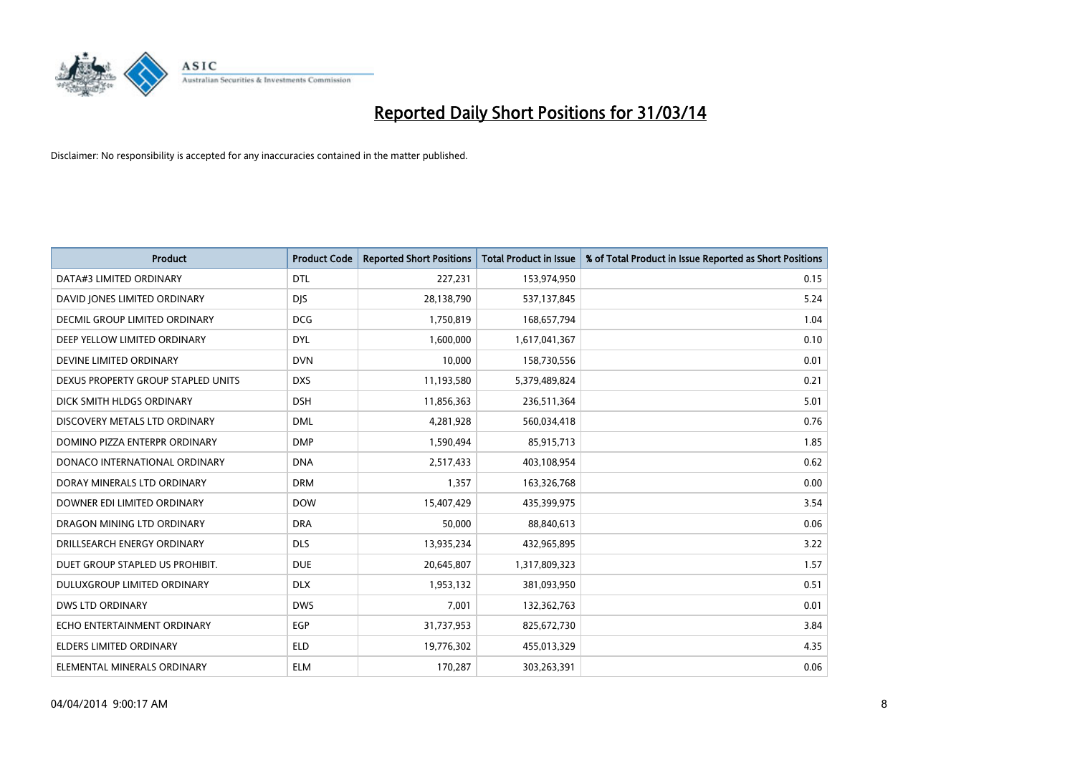

| <b>Product</b>                     | <b>Product Code</b> | <b>Reported Short Positions</b> | <b>Total Product in Issue</b> | % of Total Product in Issue Reported as Short Positions |
|------------------------------------|---------------------|---------------------------------|-------------------------------|---------------------------------------------------------|
| DATA#3 LIMITED ORDINARY            | <b>DTL</b>          | 227,231                         | 153,974,950                   | 0.15                                                    |
| DAVID JONES LIMITED ORDINARY       | <b>DIS</b>          | 28,138,790                      | 537,137,845                   | 5.24                                                    |
| DECMIL GROUP LIMITED ORDINARY      | <b>DCG</b>          | 1,750,819                       | 168,657,794                   | 1.04                                                    |
| DEEP YELLOW LIMITED ORDINARY       | <b>DYL</b>          | 1,600,000                       | 1,617,041,367                 | 0.10                                                    |
| DEVINE LIMITED ORDINARY            | <b>DVN</b>          | 10,000                          | 158,730,556                   | 0.01                                                    |
| DEXUS PROPERTY GROUP STAPLED UNITS | <b>DXS</b>          | 11,193,580                      | 5,379,489,824                 | 0.21                                                    |
| DICK SMITH HLDGS ORDINARY          | <b>DSH</b>          | 11,856,363                      | 236,511,364                   | 5.01                                                    |
| DISCOVERY METALS LTD ORDINARY      | <b>DML</b>          | 4,281,928                       | 560,034,418                   | 0.76                                                    |
| DOMINO PIZZA ENTERPR ORDINARY      | <b>DMP</b>          | 1,590,494                       | 85,915,713                    | 1.85                                                    |
| DONACO INTERNATIONAL ORDINARY      | <b>DNA</b>          | 2,517,433                       | 403,108,954                   | 0.62                                                    |
| DORAY MINERALS LTD ORDINARY        | <b>DRM</b>          | 1,357                           | 163,326,768                   | 0.00                                                    |
| DOWNER EDI LIMITED ORDINARY        | <b>DOW</b>          | 15,407,429                      | 435,399,975                   | 3.54                                                    |
| DRAGON MINING LTD ORDINARY         | <b>DRA</b>          | 50,000                          | 88,840,613                    | 0.06                                                    |
| DRILLSEARCH ENERGY ORDINARY        | <b>DLS</b>          | 13,935,234                      | 432,965,895                   | 3.22                                                    |
| DUET GROUP STAPLED US PROHIBIT.    | <b>DUE</b>          | 20,645,807                      | 1,317,809,323                 | 1.57                                                    |
| DULUXGROUP LIMITED ORDINARY        | <b>DLX</b>          | 1,953,132                       | 381,093,950                   | 0.51                                                    |
| <b>DWS LTD ORDINARY</b>            | <b>DWS</b>          | 7,001                           | 132,362,763                   | 0.01                                                    |
| ECHO ENTERTAINMENT ORDINARY        | <b>EGP</b>          | 31,737,953                      | 825,672,730                   | 3.84                                                    |
| <b>ELDERS LIMITED ORDINARY</b>     | <b>ELD</b>          | 19,776,302                      | 455,013,329                   | 4.35                                                    |
| ELEMENTAL MINERALS ORDINARY        | <b>ELM</b>          | 170,287                         | 303,263,391                   | 0.06                                                    |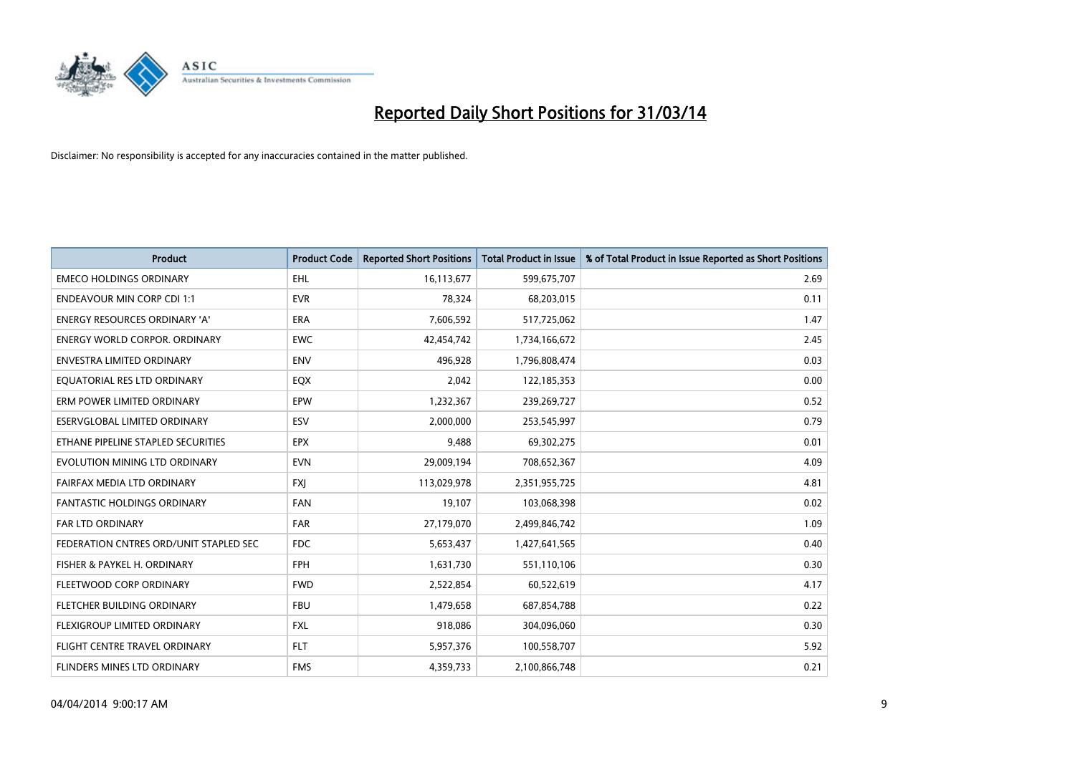

| <b>Product</b>                         | <b>Product Code</b> | <b>Reported Short Positions</b> | <b>Total Product in Issue</b> | % of Total Product in Issue Reported as Short Positions |
|----------------------------------------|---------------------|---------------------------------|-------------------------------|---------------------------------------------------------|
| <b>EMECO HOLDINGS ORDINARY</b>         | <b>EHL</b>          | 16,113,677                      | 599,675,707                   | 2.69                                                    |
| <b>ENDEAVOUR MIN CORP CDI 1:1</b>      | <b>EVR</b>          | 78,324                          | 68,203,015                    | 0.11                                                    |
| <b>ENERGY RESOURCES ORDINARY 'A'</b>   | <b>ERA</b>          | 7,606,592                       | 517,725,062                   | 1.47                                                    |
| ENERGY WORLD CORPOR. ORDINARY          | <b>EWC</b>          | 42,454,742                      | 1,734,166,672                 | 2.45                                                    |
| <b>ENVESTRA LIMITED ORDINARY</b>       | <b>ENV</b>          | 496,928                         | 1,796,808,474                 | 0.03                                                    |
| EQUATORIAL RES LTD ORDINARY            | EQX                 | 2,042                           | 122,185,353                   | 0.00                                                    |
| ERM POWER LIMITED ORDINARY             | <b>EPW</b>          | 1,232,367                       | 239,269,727                   | 0.52                                                    |
| ESERVGLOBAL LIMITED ORDINARY           | ESV                 | 2,000,000                       | 253,545,997                   | 0.79                                                    |
| ETHANE PIPELINE STAPLED SECURITIES     | <b>EPX</b>          | 9,488                           | 69,302,275                    | 0.01                                                    |
| EVOLUTION MINING LTD ORDINARY          | <b>EVN</b>          | 29,009,194                      | 708,652,367                   | 4.09                                                    |
| FAIRFAX MEDIA LTD ORDINARY             | <b>FXI</b>          | 113,029,978                     | 2,351,955,725                 | 4.81                                                    |
| <b>FANTASTIC HOLDINGS ORDINARY</b>     | <b>FAN</b>          | 19,107                          | 103,068,398                   | 0.02                                                    |
| <b>FAR LTD ORDINARY</b>                | <b>FAR</b>          | 27,179,070                      | 2,499,846,742                 | 1.09                                                    |
| FEDERATION CNTRES ORD/UNIT STAPLED SEC | FDC                 | 5,653,437                       | 1,427,641,565                 | 0.40                                                    |
| FISHER & PAYKEL H. ORDINARY            | <b>FPH</b>          | 1,631,730                       | 551,110,106                   | 0.30                                                    |
| FLEETWOOD CORP ORDINARY                | <b>FWD</b>          | 2,522,854                       | 60,522,619                    | 4.17                                                    |
| FLETCHER BUILDING ORDINARY             | <b>FBU</b>          | 1,479,658                       | 687,854,788                   | 0.22                                                    |
| FLEXIGROUP LIMITED ORDINARY            | <b>FXL</b>          | 918,086                         | 304,096,060                   | 0.30                                                    |
| FLIGHT CENTRE TRAVEL ORDINARY          | <b>FLT</b>          | 5,957,376                       | 100,558,707                   | 5.92                                                    |
| <b>FLINDERS MINES LTD ORDINARY</b>     | <b>FMS</b>          | 4,359,733                       | 2,100,866,748                 | 0.21                                                    |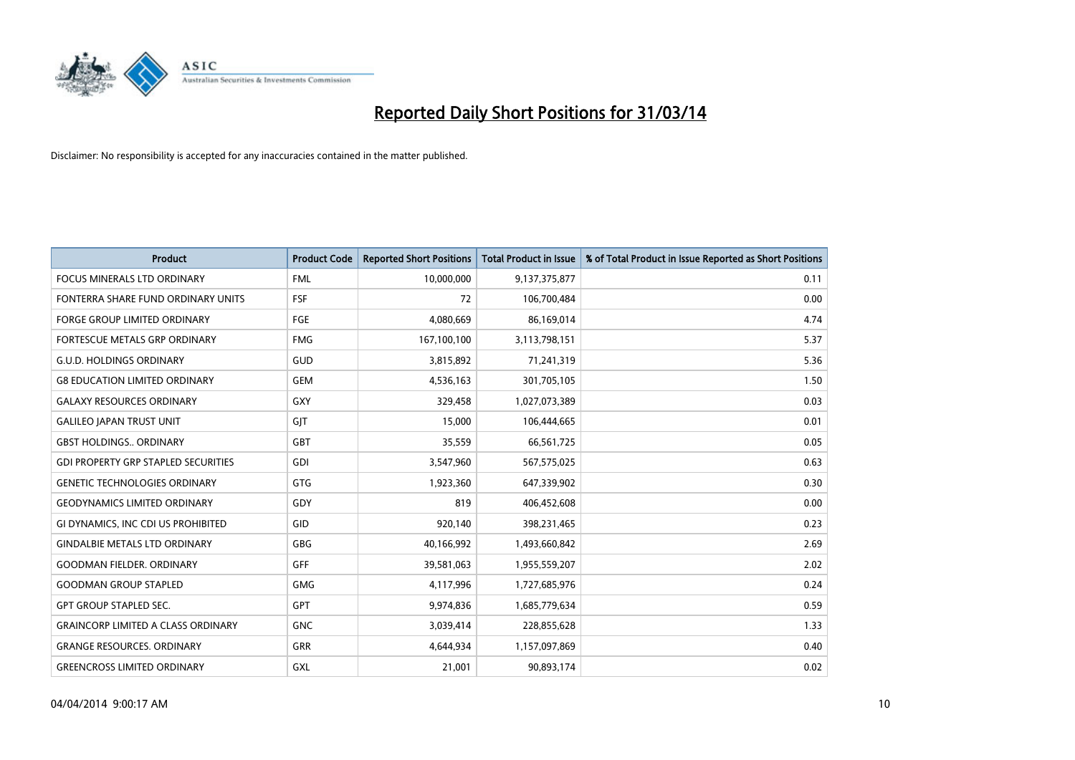

| <b>Product</b>                             | <b>Product Code</b> | <b>Reported Short Positions</b> | <b>Total Product in Issue</b> | % of Total Product in Issue Reported as Short Positions |
|--------------------------------------------|---------------------|---------------------------------|-------------------------------|---------------------------------------------------------|
| <b>FOCUS MINERALS LTD ORDINARY</b>         | <b>FML</b>          | 10,000,000                      | 9,137,375,877                 | 0.11                                                    |
| FONTERRA SHARE FUND ORDINARY UNITS         | <b>FSF</b>          | 72                              | 106,700,484                   | 0.00                                                    |
| <b>FORGE GROUP LIMITED ORDINARY</b>        | <b>FGE</b>          | 4,080,669                       | 86,169,014                    | 4.74                                                    |
| FORTESCUE METALS GRP ORDINARY              | <b>FMG</b>          | 167,100,100                     | 3,113,798,151                 | 5.37                                                    |
| <b>G.U.D. HOLDINGS ORDINARY</b>            | GUD                 | 3,815,892                       | 71,241,319                    | 5.36                                                    |
| <b>G8 EDUCATION LIMITED ORDINARY</b>       | <b>GEM</b>          | 4,536,163                       | 301,705,105                   | 1.50                                                    |
| <b>GALAXY RESOURCES ORDINARY</b>           | GXY                 | 329,458                         | 1,027,073,389                 | 0.03                                                    |
| <b>GALILEO JAPAN TRUST UNIT</b>            | GJT                 | 15,000                          | 106,444,665                   | 0.01                                                    |
| <b>GBST HOLDINGS., ORDINARY</b>            | <b>GBT</b>          | 35,559                          | 66,561,725                    | 0.05                                                    |
| <b>GDI PROPERTY GRP STAPLED SECURITIES</b> | GDI                 | 3,547,960                       | 567,575,025                   | 0.63                                                    |
| <b>GENETIC TECHNOLOGIES ORDINARY</b>       | GTG                 | 1,923,360                       | 647,339,902                   | 0.30                                                    |
| <b>GEODYNAMICS LIMITED ORDINARY</b>        | GDY                 | 819                             | 406,452,608                   | 0.00                                                    |
| GI DYNAMICS, INC CDI US PROHIBITED         | GID                 | 920,140                         | 398,231,465                   | 0.23                                                    |
| <b>GINDALBIE METALS LTD ORDINARY</b>       | GBG                 | 40,166,992                      | 1,493,660,842                 | 2.69                                                    |
| <b>GOODMAN FIELDER, ORDINARY</b>           | <b>GFF</b>          | 39,581,063                      | 1,955,559,207                 | 2.02                                                    |
| <b>GOODMAN GROUP STAPLED</b>               | <b>GMG</b>          | 4,117,996                       | 1,727,685,976                 | 0.24                                                    |
| <b>GPT GROUP STAPLED SEC.</b>              | GPT                 | 9,974,836                       | 1,685,779,634                 | 0.59                                                    |
| <b>GRAINCORP LIMITED A CLASS ORDINARY</b>  | <b>GNC</b>          | 3,039,414                       | 228,855,628                   | 1.33                                                    |
| <b>GRANGE RESOURCES, ORDINARY</b>          | <b>GRR</b>          | 4,644,934                       | 1,157,097,869                 | 0.40                                                    |
| <b>GREENCROSS LIMITED ORDINARY</b>         | GXL                 | 21,001                          | 90,893,174                    | 0.02                                                    |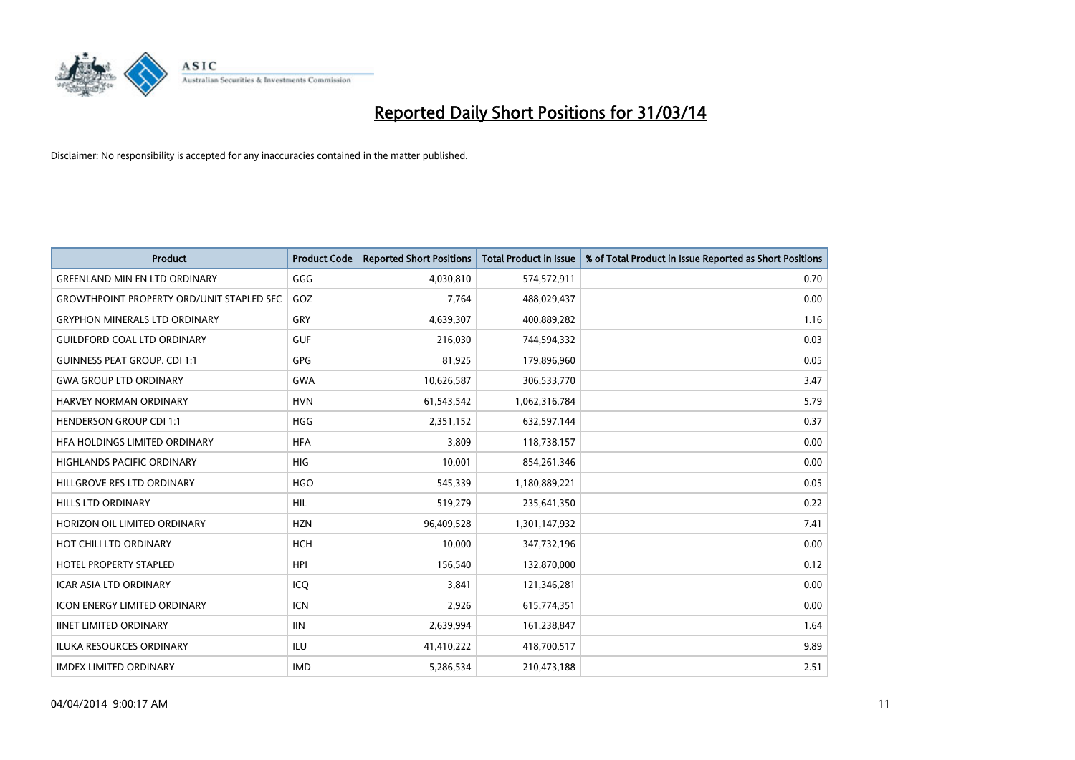

| <b>Product</b>                                   | <b>Product Code</b> | <b>Reported Short Positions</b> | <b>Total Product in Issue</b> | % of Total Product in Issue Reported as Short Positions |
|--------------------------------------------------|---------------------|---------------------------------|-------------------------------|---------------------------------------------------------|
| <b>GREENLAND MIN EN LTD ORDINARY</b>             | GGG                 | 4,030,810                       | 574,572,911                   | 0.70                                                    |
| <b>GROWTHPOINT PROPERTY ORD/UNIT STAPLED SEC</b> | GOZ                 | 7,764                           | 488,029,437                   | 0.00                                                    |
| <b>GRYPHON MINERALS LTD ORDINARY</b>             | GRY                 | 4,639,307                       | 400,889,282                   | 1.16                                                    |
| <b>GUILDFORD COAL LTD ORDINARY</b>               | <b>GUF</b>          | 216,030                         | 744,594,332                   | 0.03                                                    |
| <b>GUINNESS PEAT GROUP. CDI 1:1</b>              | GPG                 | 81,925                          | 179,896,960                   | 0.05                                                    |
| <b>GWA GROUP LTD ORDINARY</b>                    | <b>GWA</b>          | 10,626,587                      | 306,533,770                   | 3.47                                                    |
| <b>HARVEY NORMAN ORDINARY</b>                    | <b>HVN</b>          | 61,543,542                      | 1,062,316,784                 | 5.79                                                    |
| <b>HENDERSON GROUP CDI 1:1</b>                   | <b>HGG</b>          | 2,351,152                       | 632,597,144                   | 0.37                                                    |
| HFA HOLDINGS LIMITED ORDINARY                    | <b>HFA</b>          | 3,809                           | 118,738,157                   | 0.00                                                    |
| <b>HIGHLANDS PACIFIC ORDINARY</b>                | HIG                 | 10,001                          | 854,261,346                   | 0.00                                                    |
| HILLGROVE RES LTD ORDINARY                       | <b>HGO</b>          | 545,339                         | 1,180,889,221                 | 0.05                                                    |
| HILLS LTD ORDINARY                               | <b>HIL</b>          | 519,279                         | 235,641,350                   | 0.22                                                    |
| HORIZON OIL LIMITED ORDINARY                     | <b>HZN</b>          | 96,409,528                      | 1,301,147,932                 | 7.41                                                    |
| HOT CHILI LTD ORDINARY                           | <b>HCH</b>          | 10,000                          | 347,732,196                   | 0.00                                                    |
| <b>HOTEL PROPERTY STAPLED</b>                    | <b>HPI</b>          | 156,540                         | 132,870,000                   | 0.12                                                    |
| <b>ICAR ASIA LTD ORDINARY</b>                    | ICO                 | 3,841                           | 121,346,281                   | 0.00                                                    |
| <b>ICON ENERGY LIMITED ORDINARY</b>              | <b>ICN</b>          | 2,926                           | 615,774,351                   | 0.00                                                    |
| <b>IINET LIMITED ORDINARY</b>                    | <b>IIN</b>          | 2,639,994                       | 161,238,847                   | 1.64                                                    |
| <b>ILUKA RESOURCES ORDINARY</b>                  | ILU                 | 41,410,222                      | 418,700,517                   | 9.89                                                    |
| <b>IMDEX LIMITED ORDINARY</b>                    | <b>IMD</b>          | 5,286,534                       | 210,473,188                   | 2.51                                                    |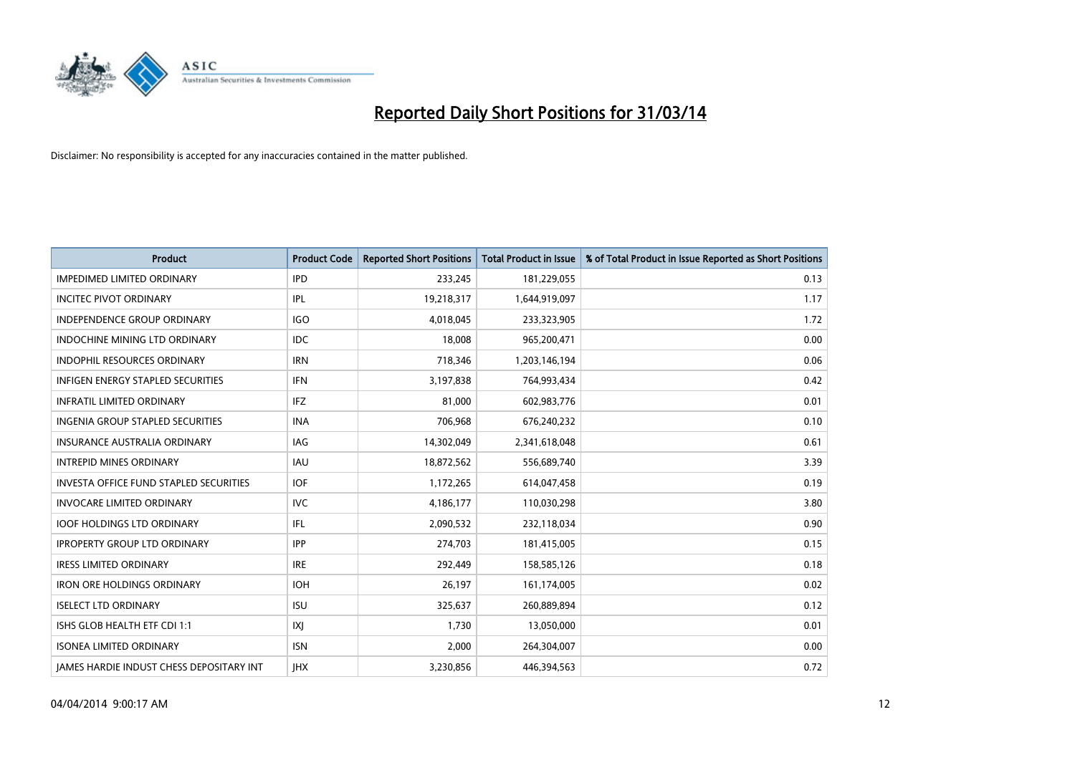

| <b>Product</b>                                | <b>Product Code</b> | <b>Reported Short Positions</b> | <b>Total Product in Issue</b> | % of Total Product in Issue Reported as Short Positions |
|-----------------------------------------------|---------------------|---------------------------------|-------------------------------|---------------------------------------------------------|
| <b>IMPEDIMED LIMITED ORDINARY</b>             | <b>IPD</b>          | 233,245                         | 181,229,055                   | 0.13                                                    |
| <b>INCITEC PIVOT ORDINARY</b>                 | IPL                 | 19,218,317                      | 1,644,919,097                 | 1.17                                                    |
| <b>INDEPENDENCE GROUP ORDINARY</b>            | <b>IGO</b>          | 4,018,045                       | 233,323,905                   | 1.72                                                    |
| <b>INDOCHINE MINING LTD ORDINARY</b>          | <b>IDC</b>          | 18,008                          | 965,200,471                   | 0.00                                                    |
| <b>INDOPHIL RESOURCES ORDINARY</b>            | <b>IRN</b>          | 718,346                         | 1,203,146,194                 | 0.06                                                    |
| <b>INFIGEN ENERGY STAPLED SECURITIES</b>      | <b>IFN</b>          | 3,197,838                       | 764,993,434                   | 0.42                                                    |
| <b>INFRATIL LIMITED ORDINARY</b>              | IFZ                 | 81,000                          | 602,983,776                   | 0.01                                                    |
| INGENIA GROUP STAPLED SECURITIES              | <b>INA</b>          | 706,968                         | 676,240,232                   | 0.10                                                    |
| INSURANCE AUSTRALIA ORDINARY                  | IAG                 | 14,302,049                      | 2,341,618,048                 | 0.61                                                    |
| <b>INTREPID MINES ORDINARY</b>                | <b>IAU</b>          | 18,872,562                      | 556,689,740                   | 3.39                                                    |
| <b>INVESTA OFFICE FUND STAPLED SECURITIES</b> | <b>IOF</b>          | 1,172,265                       | 614,047,458                   | 0.19                                                    |
| <b>INVOCARE LIMITED ORDINARY</b>              | <b>IVC</b>          | 4,186,177                       | 110,030,298                   | 3.80                                                    |
| <b>IOOF HOLDINGS LTD ORDINARY</b>             | IFL                 | 2,090,532                       | 232,118,034                   | 0.90                                                    |
| <b>IPROPERTY GROUP LTD ORDINARY</b>           | IPP                 | 274,703                         | 181,415,005                   | 0.15                                                    |
| <b>IRESS LIMITED ORDINARY</b>                 | <b>IRE</b>          | 292,449                         | 158,585,126                   | 0.18                                                    |
| <b>IRON ORE HOLDINGS ORDINARY</b>             | <b>IOH</b>          | 26,197                          | 161,174,005                   | 0.02                                                    |
| <b>ISELECT LTD ORDINARY</b>                   | <b>ISU</b>          | 325,637                         | 260,889,894                   | 0.12                                                    |
| ISHS GLOB HEALTH ETF CDI 1:1                  | IXJ                 | 1,730                           | 13,050,000                    | 0.01                                                    |
| <b>ISONEA LIMITED ORDINARY</b>                | <b>ISN</b>          | 2,000                           | 264,304,007                   | 0.00                                                    |
| JAMES HARDIE INDUST CHESS DEPOSITARY INT      | <b>IHX</b>          | 3,230,856                       | 446,394,563                   | 0.72                                                    |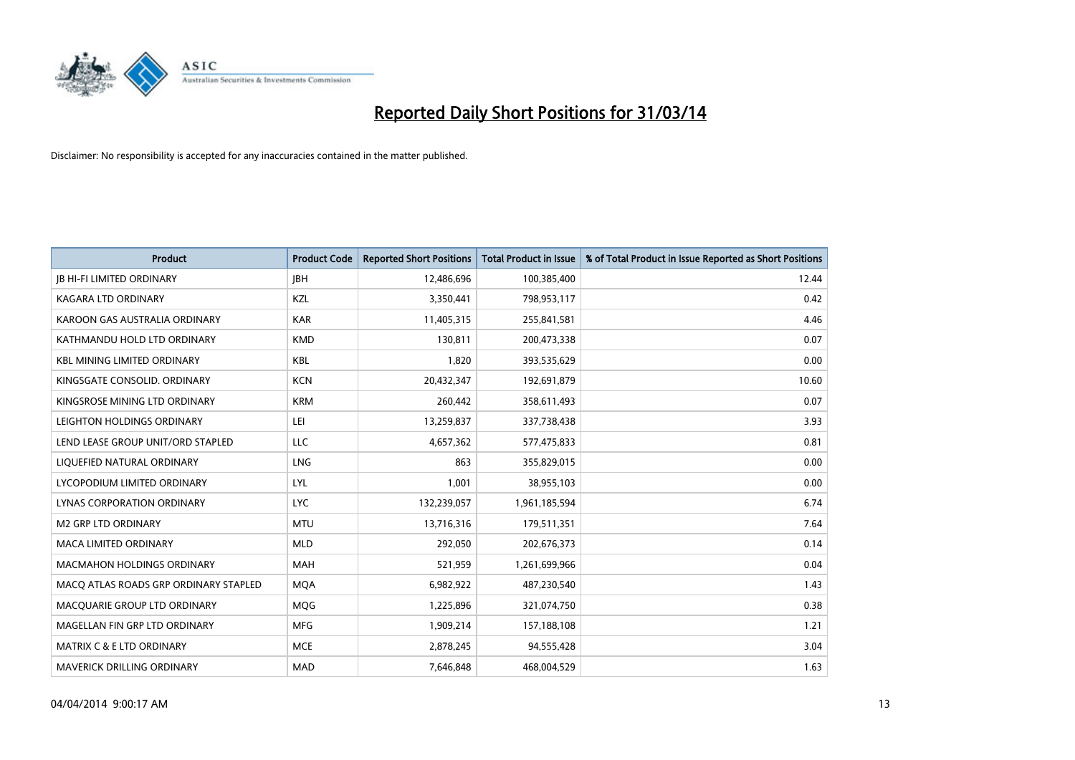

| <b>Product</b>                        | <b>Product Code</b> | <b>Reported Short Positions</b> | <b>Total Product in Issue</b> | % of Total Product in Issue Reported as Short Positions |
|---------------------------------------|---------------------|---------------------------------|-------------------------------|---------------------------------------------------------|
| <b>JB HI-FI LIMITED ORDINARY</b>      | <b>JBH</b>          | 12,486,696                      | 100,385,400                   | 12.44                                                   |
| KAGARA LTD ORDINARY                   | KZL                 | 3,350,441                       | 798,953,117                   | 0.42                                                    |
| KAROON GAS AUSTRALIA ORDINARY         | <b>KAR</b>          | 11,405,315                      | 255,841,581                   | 4.46                                                    |
| KATHMANDU HOLD LTD ORDINARY           | <b>KMD</b>          | 130,811                         | 200,473,338                   | 0.07                                                    |
| <b>KBL MINING LIMITED ORDINARY</b>    | <b>KBL</b>          | 1,820                           | 393,535,629                   | 0.00                                                    |
| KINGSGATE CONSOLID, ORDINARY          | <b>KCN</b>          | 20,432,347                      | 192,691,879                   | 10.60                                                   |
| KINGSROSE MINING LTD ORDINARY         | <b>KRM</b>          | 260,442                         | 358,611,493                   | 0.07                                                    |
| LEIGHTON HOLDINGS ORDINARY            | LEI                 | 13,259,837                      | 337,738,438                   | 3.93                                                    |
| LEND LEASE GROUP UNIT/ORD STAPLED     | <b>LLC</b>          | 4,657,362                       | 577,475,833                   | 0.81                                                    |
| LIQUEFIED NATURAL ORDINARY            | LNG                 | 863                             | 355,829,015                   | 0.00                                                    |
| LYCOPODIUM LIMITED ORDINARY           | <b>LYL</b>          | 1,001                           | 38,955,103                    | 0.00                                                    |
| <b>LYNAS CORPORATION ORDINARY</b>     | <b>LYC</b>          | 132,239,057                     | 1,961,185,594                 | 6.74                                                    |
| <b>M2 GRP LTD ORDINARY</b>            | <b>MTU</b>          | 13,716,316                      | 179,511,351                   | 7.64                                                    |
| <b>MACA LIMITED ORDINARY</b>          | <b>MLD</b>          | 292,050                         | 202,676,373                   | 0.14                                                    |
| <b>MACMAHON HOLDINGS ORDINARY</b>     | <b>MAH</b>          | 521,959                         | 1,261,699,966                 | 0.04                                                    |
| MACO ATLAS ROADS GRP ORDINARY STAPLED | <b>MOA</b>          | 6,982,922                       | 487,230,540                   | 1.43                                                    |
| MACQUARIE GROUP LTD ORDINARY          | MQG                 | 1,225,896                       | 321,074,750                   | 0.38                                                    |
| MAGELLAN FIN GRP LTD ORDINARY         | <b>MFG</b>          | 1,909,214                       | 157,188,108                   | 1.21                                                    |
| MATRIX C & E LTD ORDINARY             | <b>MCE</b>          | 2,878,245                       | 94,555,428                    | 3.04                                                    |
| MAVERICK DRILLING ORDINARY            | <b>MAD</b>          | 7,646,848                       | 468,004,529                   | 1.63                                                    |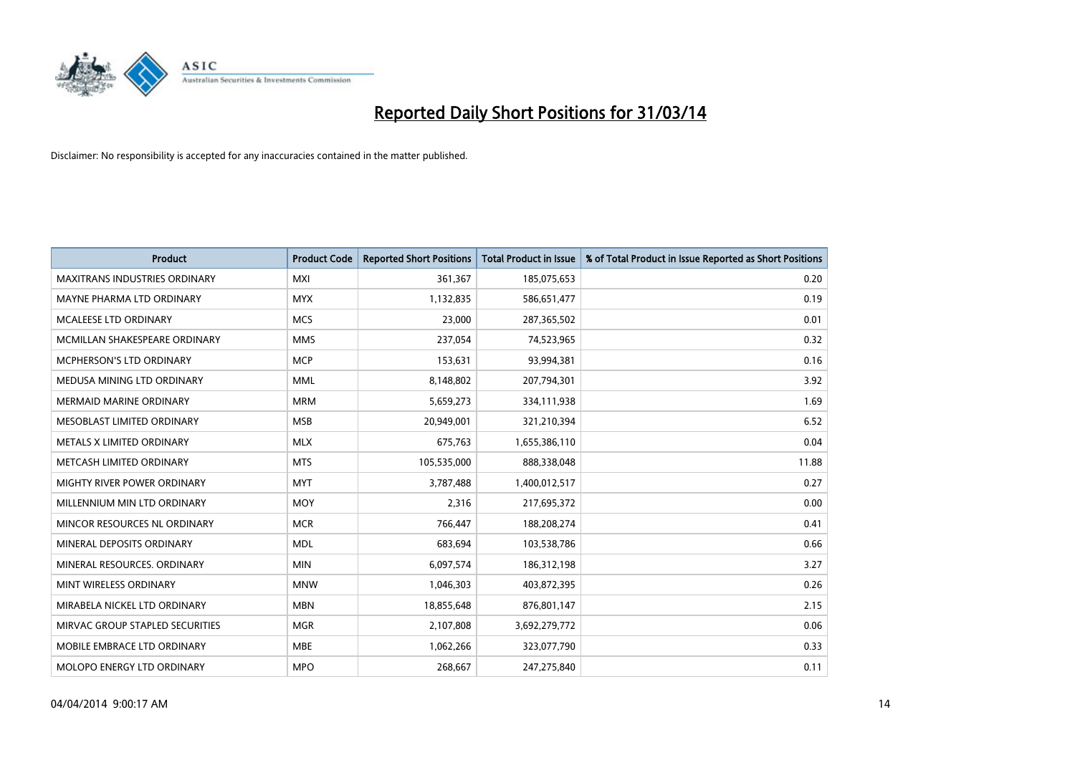

| <b>Product</b>                       | <b>Product Code</b> | <b>Reported Short Positions</b> | <b>Total Product in Issue</b> | % of Total Product in Issue Reported as Short Positions |
|--------------------------------------|---------------------|---------------------------------|-------------------------------|---------------------------------------------------------|
| <b>MAXITRANS INDUSTRIES ORDINARY</b> | <b>MXI</b>          | 361,367                         | 185,075,653                   | 0.20                                                    |
| MAYNE PHARMA LTD ORDINARY            | <b>MYX</b>          | 1,132,835                       | 586,651,477                   | 0.19                                                    |
| <b>MCALEESE LTD ORDINARY</b>         | <b>MCS</b>          | 23,000                          | 287,365,502                   | 0.01                                                    |
| MCMILLAN SHAKESPEARE ORDINARY        | <b>MMS</b>          | 237,054                         | 74,523,965                    | 0.32                                                    |
| <b>MCPHERSON'S LTD ORDINARY</b>      | <b>MCP</b>          | 153,631                         | 93,994,381                    | 0.16                                                    |
| MEDUSA MINING LTD ORDINARY           | <b>MML</b>          | 8,148,802                       | 207,794,301                   | 3.92                                                    |
| <b>MERMAID MARINE ORDINARY</b>       | <b>MRM</b>          | 5,659,273                       | 334,111,938                   | 1.69                                                    |
| MESOBLAST LIMITED ORDINARY           | <b>MSB</b>          | 20,949,001                      | 321,210,394                   | 6.52                                                    |
| METALS X LIMITED ORDINARY            | <b>MLX</b>          | 675,763                         | 1,655,386,110                 | 0.04                                                    |
| METCASH LIMITED ORDINARY             | <b>MTS</b>          | 105,535,000                     | 888,338,048                   | 11.88                                                   |
| MIGHTY RIVER POWER ORDINARY          | <b>MYT</b>          | 3,787,488                       | 1,400,012,517                 | 0.27                                                    |
| MILLENNIUM MIN LTD ORDINARY          | <b>MOY</b>          | 2,316                           | 217,695,372                   | 0.00                                                    |
| MINCOR RESOURCES NL ORDINARY         | <b>MCR</b>          | 766,447                         | 188,208,274                   | 0.41                                                    |
| MINERAL DEPOSITS ORDINARY            | <b>MDL</b>          | 683,694                         | 103,538,786                   | 0.66                                                    |
| MINERAL RESOURCES, ORDINARY          | <b>MIN</b>          | 6,097,574                       | 186,312,198                   | 3.27                                                    |
| MINT WIRELESS ORDINARY               | <b>MNW</b>          | 1,046,303                       | 403,872,395                   | 0.26                                                    |
| MIRABELA NICKEL LTD ORDINARY         | <b>MBN</b>          | 18,855,648                      | 876,801,147                   | 2.15                                                    |
| MIRVAC GROUP STAPLED SECURITIES      | <b>MGR</b>          | 2,107,808                       | 3,692,279,772                 | 0.06                                                    |
| MOBILE EMBRACE LTD ORDINARY          | <b>MBE</b>          | 1,062,266                       | 323,077,790                   | 0.33                                                    |
| MOLOPO ENERGY LTD ORDINARY           | <b>MPO</b>          | 268,667                         | 247,275,840                   | 0.11                                                    |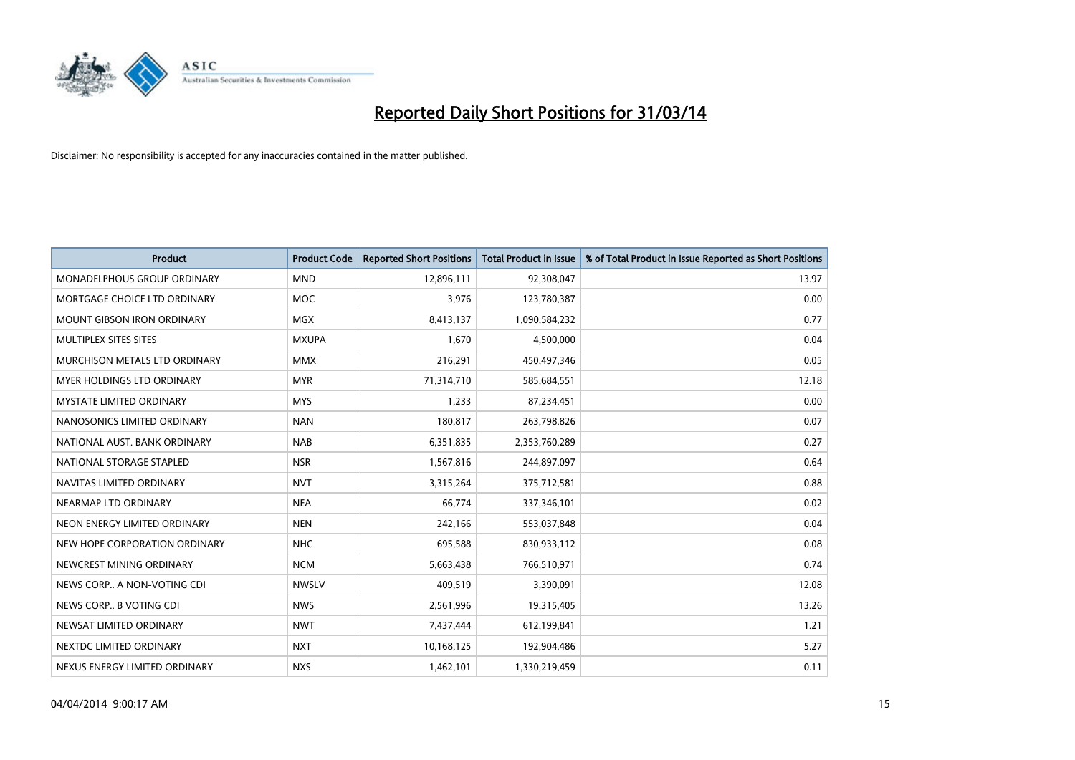

| Product                           | <b>Product Code</b> | <b>Reported Short Positions</b> | <b>Total Product in Issue</b> | % of Total Product in Issue Reported as Short Positions |
|-----------------------------------|---------------------|---------------------------------|-------------------------------|---------------------------------------------------------|
| MONADELPHOUS GROUP ORDINARY       | <b>MND</b>          | 12,896,111                      | 92,308,047                    | 13.97                                                   |
| MORTGAGE CHOICE LTD ORDINARY      | <b>MOC</b>          | 3,976                           | 123,780,387                   | 0.00                                                    |
| <b>MOUNT GIBSON IRON ORDINARY</b> | <b>MGX</b>          | 8,413,137                       | 1,090,584,232                 | 0.77                                                    |
| MULTIPLEX SITES SITES             | <b>MXUPA</b>        | 1,670                           | 4,500,000                     | 0.04                                                    |
| MURCHISON METALS LTD ORDINARY     | <b>MMX</b>          | 216,291                         | 450,497,346                   | 0.05                                                    |
| MYER HOLDINGS LTD ORDINARY        | <b>MYR</b>          | 71,314,710                      | 585,684,551                   | 12.18                                                   |
| <b>MYSTATE LIMITED ORDINARY</b>   | <b>MYS</b>          | 1,233                           | 87,234,451                    | 0.00                                                    |
| NANOSONICS LIMITED ORDINARY       | <b>NAN</b>          | 180,817                         | 263,798,826                   | 0.07                                                    |
| NATIONAL AUST, BANK ORDINARY      | <b>NAB</b>          | 6,351,835                       | 2,353,760,289                 | 0.27                                                    |
| NATIONAL STORAGE STAPLED          | <b>NSR</b>          | 1,567,816                       | 244,897,097                   | 0.64                                                    |
| NAVITAS LIMITED ORDINARY          | <b>NVT</b>          | 3,315,264                       | 375,712,581                   | 0.88                                                    |
| NEARMAP LTD ORDINARY              | <b>NEA</b>          | 66,774                          | 337,346,101                   | 0.02                                                    |
| NEON ENERGY LIMITED ORDINARY      | <b>NEN</b>          | 242,166                         | 553,037,848                   | 0.04                                                    |
| NEW HOPE CORPORATION ORDINARY     | <b>NHC</b>          | 695,588                         | 830,933,112                   | 0.08                                                    |
| NEWCREST MINING ORDINARY          | <b>NCM</b>          | 5,663,438                       | 766,510,971                   | 0.74                                                    |
| NEWS CORP A NON-VOTING CDI        | <b>NWSLV</b>        | 409,519                         | 3,390,091                     | 12.08                                                   |
| NEWS CORP B VOTING CDI            | <b>NWS</b>          | 2,561,996                       | 19,315,405                    | 13.26                                                   |
| NEWSAT LIMITED ORDINARY           | <b>NWT</b>          | 7,437,444                       | 612,199,841                   | 1.21                                                    |
| NEXTDC LIMITED ORDINARY           | <b>NXT</b>          | 10,168,125                      | 192,904,486                   | 5.27                                                    |
| NEXUS ENERGY LIMITED ORDINARY     | <b>NXS</b>          | 1,462,101                       | 1,330,219,459                 | 0.11                                                    |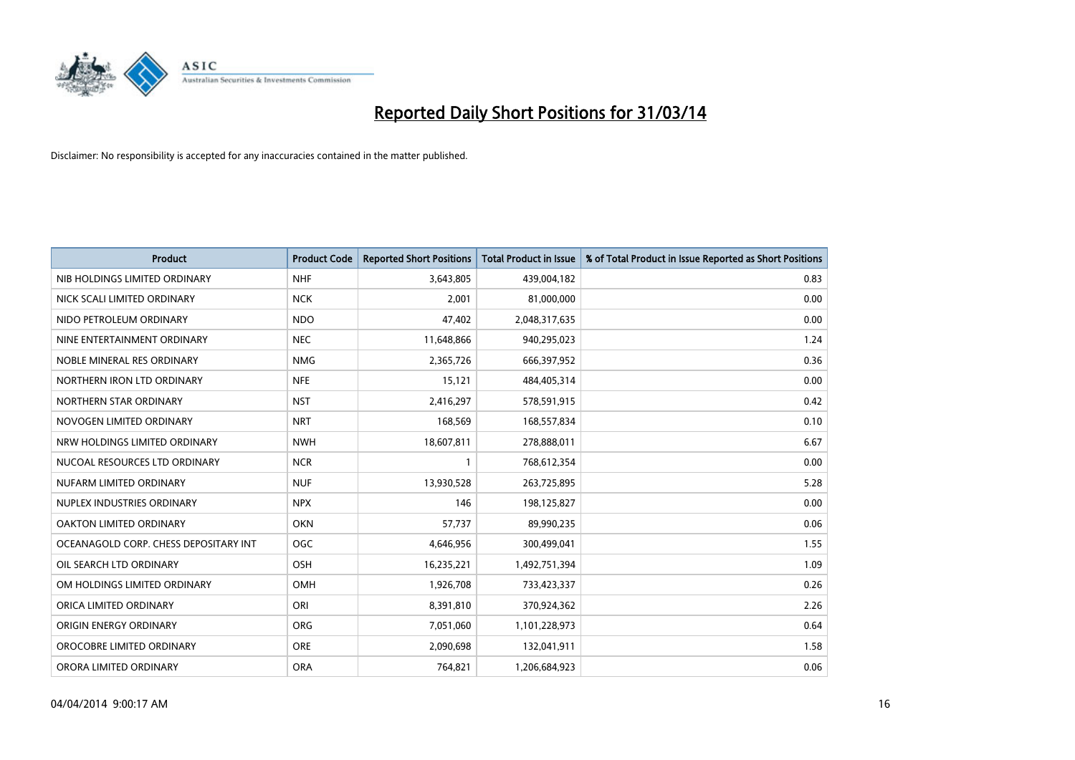

| <b>Product</b>                        | <b>Product Code</b> | <b>Reported Short Positions</b> | <b>Total Product in Issue</b> | % of Total Product in Issue Reported as Short Positions |
|---------------------------------------|---------------------|---------------------------------|-------------------------------|---------------------------------------------------------|
| NIB HOLDINGS LIMITED ORDINARY         | <b>NHF</b>          | 3,643,805                       | 439,004,182                   | 0.83                                                    |
| NICK SCALI LIMITED ORDINARY           | <b>NCK</b>          | 2,001                           | 81,000,000                    | 0.00                                                    |
| NIDO PETROLEUM ORDINARY               | <b>NDO</b>          | 47,402                          | 2,048,317,635                 | 0.00                                                    |
| NINE ENTERTAINMENT ORDINARY           | <b>NEC</b>          | 11,648,866                      | 940,295,023                   | 1.24                                                    |
| NOBLE MINERAL RES ORDINARY            | <b>NMG</b>          | 2,365,726                       | 666,397,952                   | 0.36                                                    |
| NORTHERN IRON LTD ORDINARY            | <b>NFE</b>          | 15,121                          | 484,405,314                   | 0.00                                                    |
| NORTHERN STAR ORDINARY                | <b>NST</b>          | 2,416,297                       | 578,591,915                   | 0.42                                                    |
| NOVOGEN LIMITED ORDINARY              | <b>NRT</b>          | 168,569                         | 168,557,834                   | 0.10                                                    |
| NRW HOLDINGS LIMITED ORDINARY         | <b>NWH</b>          | 18,607,811                      | 278,888,011                   | 6.67                                                    |
| NUCOAL RESOURCES LTD ORDINARY         | <b>NCR</b>          | $\mathbf{1}$                    | 768,612,354                   | 0.00                                                    |
| NUFARM LIMITED ORDINARY               | <b>NUF</b>          | 13,930,528                      | 263,725,895                   | 5.28                                                    |
| NUPLEX INDUSTRIES ORDINARY            | <b>NPX</b>          | 146                             | 198,125,827                   | 0.00                                                    |
| OAKTON LIMITED ORDINARY               | <b>OKN</b>          | 57,737                          | 89,990,235                    | 0.06                                                    |
| OCEANAGOLD CORP. CHESS DEPOSITARY INT | <b>OGC</b>          | 4,646,956                       | 300,499,041                   | 1.55                                                    |
| OIL SEARCH LTD ORDINARY               | OSH                 | 16,235,221                      | 1,492,751,394                 | 1.09                                                    |
| OM HOLDINGS LIMITED ORDINARY          | OMH                 | 1,926,708                       | 733,423,337                   | 0.26                                                    |
| ORICA LIMITED ORDINARY                | ORI                 | 8,391,810                       | 370,924,362                   | 2.26                                                    |
| ORIGIN ENERGY ORDINARY                | <b>ORG</b>          | 7,051,060                       | 1,101,228,973                 | 0.64                                                    |
| OROCOBRE LIMITED ORDINARY             | <b>ORE</b>          | 2,090,698                       | 132,041,911                   | 1.58                                                    |
| ORORA LIMITED ORDINARY                | <b>ORA</b>          | 764,821                         | 1,206,684,923                 | 0.06                                                    |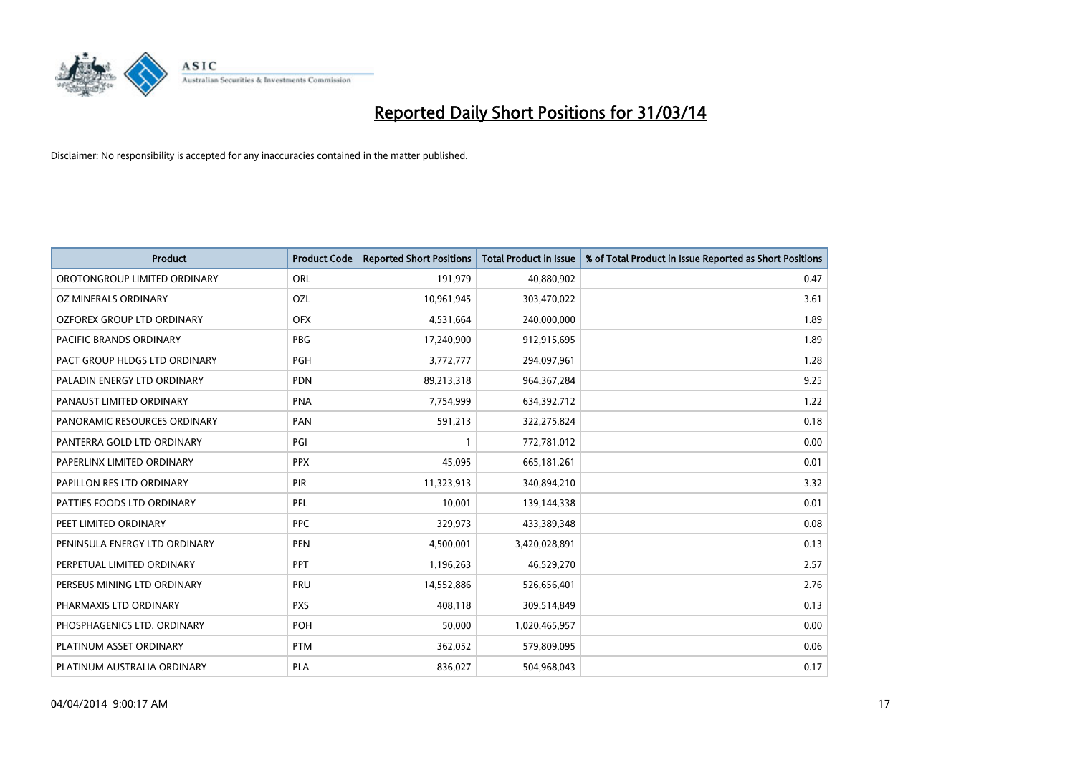

| <b>Product</b>                    | <b>Product Code</b> | <b>Reported Short Positions</b> | <b>Total Product in Issue</b> | % of Total Product in Issue Reported as Short Positions |
|-----------------------------------|---------------------|---------------------------------|-------------------------------|---------------------------------------------------------|
| OROTONGROUP LIMITED ORDINARY      | ORL                 | 191,979                         | 40,880,902                    | 0.47                                                    |
| OZ MINERALS ORDINARY              | OZL                 | 10,961,945                      | 303,470,022                   | 3.61                                                    |
| <b>OZFOREX GROUP LTD ORDINARY</b> | <b>OFX</b>          | 4,531,664                       | 240,000,000                   | 1.89                                                    |
| PACIFIC BRANDS ORDINARY           | <b>PBG</b>          | 17,240,900                      | 912,915,695                   | 1.89                                                    |
| PACT GROUP HLDGS LTD ORDINARY     | <b>PGH</b>          | 3,772,777                       | 294,097,961                   | 1.28                                                    |
| PALADIN ENERGY LTD ORDINARY       | <b>PDN</b>          | 89,213,318                      | 964,367,284                   | 9.25                                                    |
| PANAUST LIMITED ORDINARY          | <b>PNA</b>          | 7,754,999                       | 634,392,712                   | 1.22                                                    |
| PANORAMIC RESOURCES ORDINARY      | PAN                 | 591,213                         | 322,275,824                   | 0.18                                                    |
| PANTERRA GOLD LTD ORDINARY        | PGI                 | 1                               | 772,781,012                   | 0.00                                                    |
| PAPERLINX LIMITED ORDINARY        | <b>PPX</b>          | 45,095                          | 665, 181, 261                 | 0.01                                                    |
| PAPILLON RES LTD ORDINARY         | PIR                 | 11,323,913                      | 340,894,210                   | 3.32                                                    |
| PATTIES FOODS LTD ORDINARY        | <b>PFL</b>          | 10,001                          | 139,144,338                   | 0.01                                                    |
| PEET LIMITED ORDINARY             | <b>PPC</b>          | 329,973                         | 433,389,348                   | 0.08                                                    |
| PENINSULA ENERGY LTD ORDINARY     | <b>PEN</b>          | 4,500,001                       | 3,420,028,891                 | 0.13                                                    |
| PERPETUAL LIMITED ORDINARY        | <b>PPT</b>          | 1,196,263                       | 46,529,270                    | 2.57                                                    |
| PERSEUS MINING LTD ORDINARY       | PRU                 | 14,552,886                      | 526,656,401                   | 2.76                                                    |
| PHARMAXIS LTD ORDINARY            | <b>PXS</b>          | 408,118                         | 309,514,849                   | 0.13                                                    |
| PHOSPHAGENICS LTD. ORDINARY       | POH                 | 50,000                          | 1,020,465,957                 | 0.00                                                    |
| PLATINUM ASSET ORDINARY           | <b>PTM</b>          | 362,052                         | 579,809,095                   | 0.06                                                    |
| PLATINUM AUSTRALIA ORDINARY       | PLA                 | 836,027                         | 504,968,043                   | 0.17                                                    |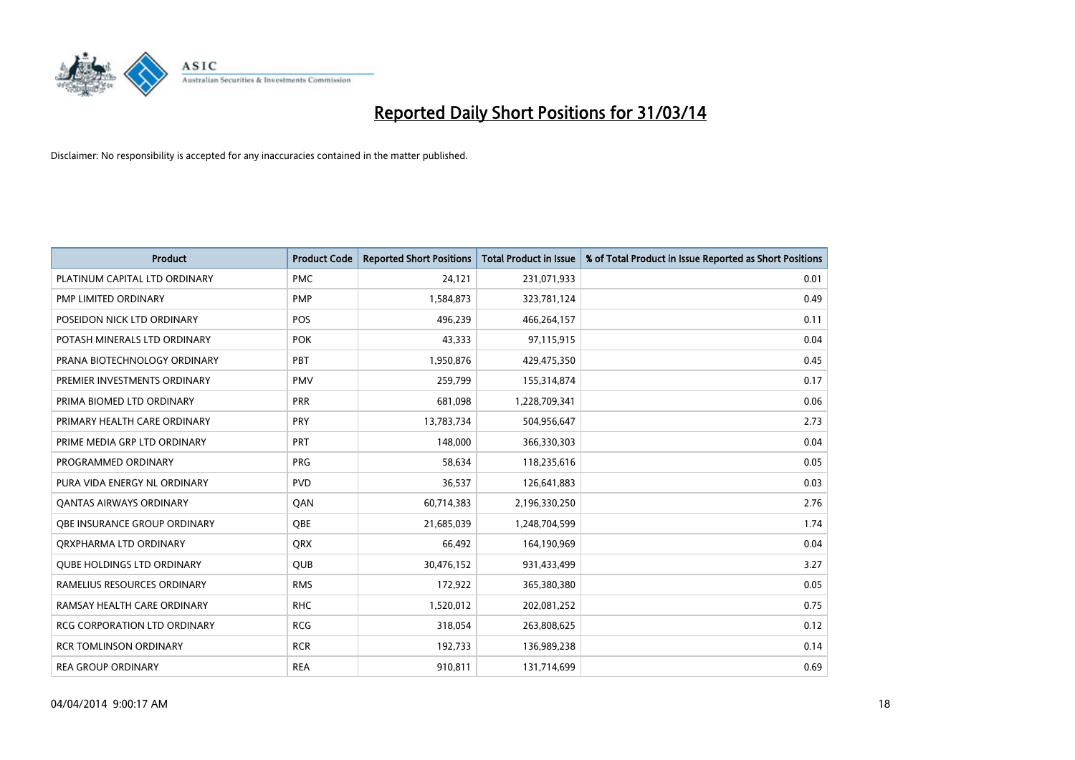

| <b>Product</b>                    | <b>Product Code</b> | <b>Reported Short Positions</b> | <b>Total Product in Issue</b> | % of Total Product in Issue Reported as Short Positions |
|-----------------------------------|---------------------|---------------------------------|-------------------------------|---------------------------------------------------------|
| PLATINUM CAPITAL LTD ORDINARY     | <b>PMC</b>          | 24,121                          | 231,071,933                   | 0.01                                                    |
| PMP LIMITED ORDINARY              | <b>PMP</b>          | 1,584,873                       | 323,781,124                   | 0.49                                                    |
| POSEIDON NICK LTD ORDINARY        | <b>POS</b>          | 496,239                         | 466,264,157                   | 0.11                                                    |
| POTASH MINERALS LTD ORDINARY      | <b>POK</b>          | 43,333                          | 97,115,915                    | 0.04                                                    |
| PRANA BIOTECHNOLOGY ORDINARY      | PBT                 | 1,950,876                       | 429,475,350                   | 0.45                                                    |
| PREMIER INVESTMENTS ORDINARY      | <b>PMV</b>          | 259,799                         | 155,314,874                   | 0.17                                                    |
| PRIMA BIOMED LTD ORDINARY         | <b>PRR</b>          | 681,098                         | 1,228,709,341                 | 0.06                                                    |
| PRIMARY HEALTH CARE ORDINARY      | <b>PRY</b>          | 13,783,734                      | 504,956,647                   | 2.73                                                    |
| PRIME MEDIA GRP LTD ORDINARY      | <b>PRT</b>          | 148,000                         | 366,330,303                   | 0.04                                                    |
| PROGRAMMED ORDINARY               | <b>PRG</b>          | 58,634                          | 118,235,616                   | 0.05                                                    |
| PURA VIDA ENERGY NL ORDINARY      | <b>PVD</b>          | 36,537                          | 126,641,883                   | 0.03                                                    |
| <b>QANTAS AIRWAYS ORDINARY</b>    | QAN                 | 60,714,383                      | 2,196,330,250                 | 2.76                                                    |
| OBE INSURANCE GROUP ORDINARY      | <b>OBE</b>          | 21,685,039                      | 1,248,704,599                 | 1.74                                                    |
| ORXPHARMA LTD ORDINARY            | <b>QRX</b>          | 66,492                          | 164,190,969                   | 0.04                                                    |
| <b>QUBE HOLDINGS LTD ORDINARY</b> | <b>QUB</b>          | 30,476,152                      | 931,433,499                   | 3.27                                                    |
| RAMELIUS RESOURCES ORDINARY       | <b>RMS</b>          | 172,922                         | 365,380,380                   | 0.05                                                    |
| RAMSAY HEALTH CARE ORDINARY       | <b>RHC</b>          | 1,520,012                       | 202,081,252                   | 0.75                                                    |
| RCG CORPORATION LTD ORDINARY      | <b>RCG</b>          | 318,054                         | 263,808,625                   | 0.12                                                    |
| <b>RCR TOMLINSON ORDINARY</b>     | <b>RCR</b>          | 192,733                         | 136,989,238                   | 0.14                                                    |
| <b>REA GROUP ORDINARY</b>         | <b>REA</b>          | 910,811                         | 131,714,699                   | 0.69                                                    |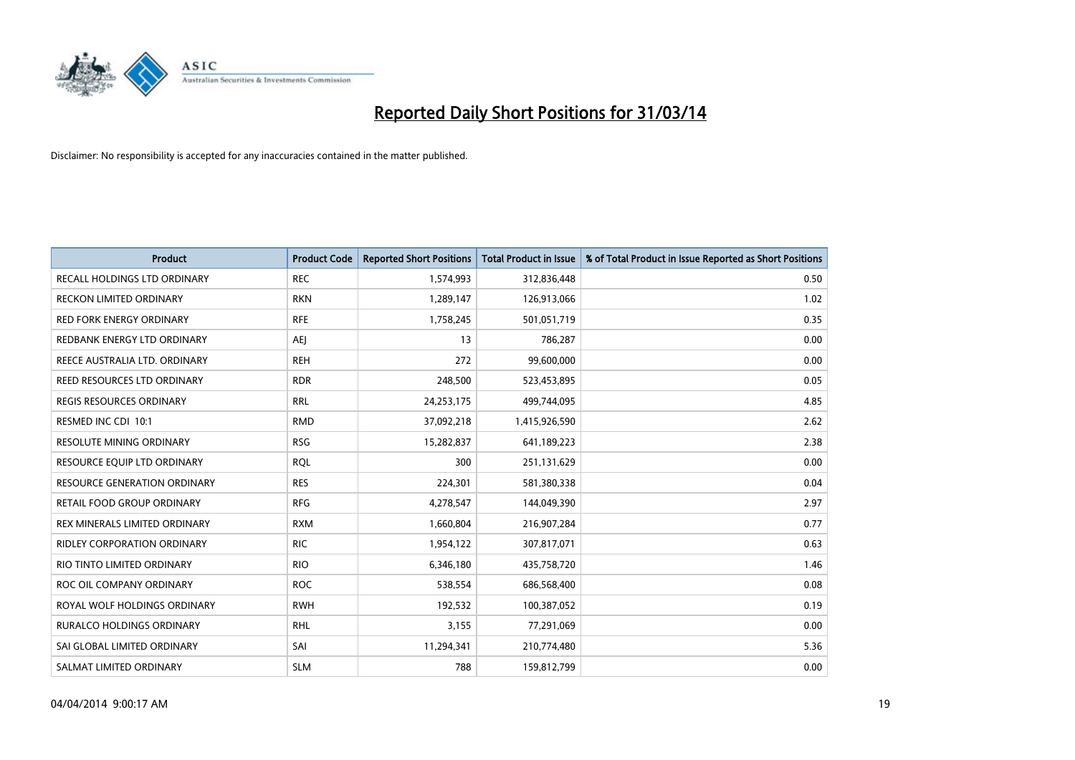

| <b>Product</b>                      | <b>Product Code</b> | <b>Reported Short Positions</b> | <b>Total Product in Issue</b> | % of Total Product in Issue Reported as Short Positions |
|-------------------------------------|---------------------|---------------------------------|-------------------------------|---------------------------------------------------------|
| <b>RECALL HOLDINGS LTD ORDINARY</b> | <b>REC</b>          | 1,574,993                       | 312,836,448                   | 0.50                                                    |
| RECKON LIMITED ORDINARY             | <b>RKN</b>          | 1,289,147                       | 126,913,066                   | 1.02                                                    |
| <b>RED FORK ENERGY ORDINARY</b>     | <b>RFE</b>          | 1,758,245                       | 501,051,719                   | 0.35                                                    |
| REDBANK ENERGY LTD ORDINARY         | <b>AEI</b>          | 13                              | 786,287                       | 0.00                                                    |
| REECE AUSTRALIA LTD. ORDINARY       | <b>REH</b>          | 272                             | 99,600,000                    | 0.00                                                    |
| REED RESOURCES LTD ORDINARY         | <b>RDR</b>          | 248,500                         | 523,453,895                   | 0.05                                                    |
| REGIS RESOURCES ORDINARY            | <b>RRL</b>          | 24,253,175                      | 499,744,095                   | 4.85                                                    |
| RESMED INC CDI 10:1                 | <b>RMD</b>          | 37,092,218                      | 1,415,926,590                 | 2.62                                                    |
| <b>RESOLUTE MINING ORDINARY</b>     | <b>RSG</b>          | 15,282,837                      | 641,189,223                   | 2.38                                                    |
| RESOURCE EQUIP LTD ORDINARY         | <b>RQL</b>          | 300                             | 251,131,629                   | 0.00                                                    |
| <b>RESOURCE GENERATION ORDINARY</b> | <b>RES</b>          | 224,301                         | 581,380,338                   | 0.04                                                    |
| RETAIL FOOD GROUP ORDINARY          | <b>RFG</b>          | 4,278,547                       | 144,049,390                   | 2.97                                                    |
| REX MINERALS LIMITED ORDINARY       | <b>RXM</b>          | 1,660,804                       | 216,907,284                   | 0.77                                                    |
| <b>RIDLEY CORPORATION ORDINARY</b>  | <b>RIC</b>          | 1,954,122                       | 307,817,071                   | 0.63                                                    |
| RIO TINTO LIMITED ORDINARY          | <b>RIO</b>          | 6,346,180                       | 435,758,720                   | 1.46                                                    |
| ROC OIL COMPANY ORDINARY            | <b>ROC</b>          | 538,554                         | 686,568,400                   | 0.08                                                    |
| ROYAL WOLF HOLDINGS ORDINARY        | <b>RWH</b>          | 192,532                         | 100,387,052                   | 0.19                                                    |
| RURALCO HOLDINGS ORDINARY           | <b>RHL</b>          | 3,155                           | 77,291,069                    | 0.00                                                    |
| SAI GLOBAL LIMITED ORDINARY         | SAI                 | 11,294,341                      | 210,774,480                   | 5.36                                                    |
| SALMAT LIMITED ORDINARY             | <b>SLM</b>          | 788                             | 159,812,799                   | 0.00                                                    |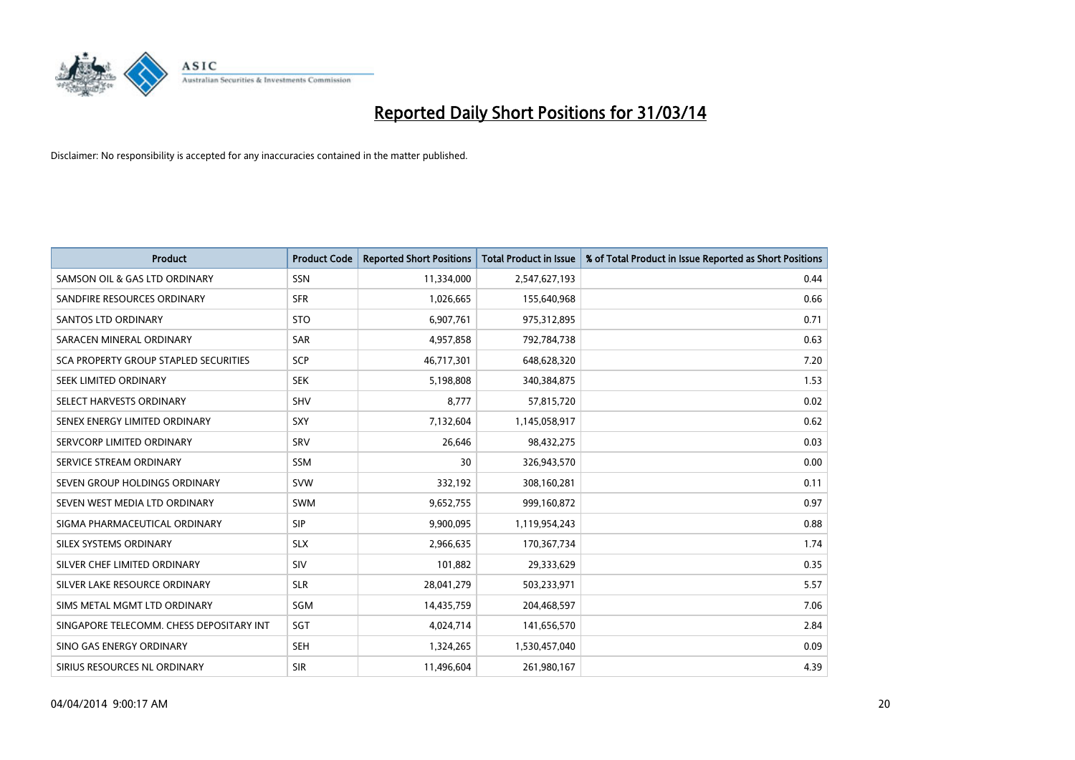

| <b>Product</b>                           | <b>Product Code</b> | <b>Reported Short Positions</b> | <b>Total Product in Issue</b> | % of Total Product in Issue Reported as Short Positions |
|------------------------------------------|---------------------|---------------------------------|-------------------------------|---------------------------------------------------------|
| SAMSON OIL & GAS LTD ORDINARY            | SSN                 | 11,334,000                      | 2,547,627,193                 | 0.44                                                    |
| SANDFIRE RESOURCES ORDINARY              | <b>SFR</b>          | 1,026,665                       | 155,640,968                   | 0.66                                                    |
| <b>SANTOS LTD ORDINARY</b>               | <b>STO</b>          | 6,907,761                       | 975,312,895                   | 0.71                                                    |
| SARACEN MINERAL ORDINARY                 | <b>SAR</b>          | 4,957,858                       | 792,784,738                   | 0.63                                                    |
| SCA PROPERTY GROUP STAPLED SECURITIES    | SCP                 | 46,717,301                      | 648,628,320                   | 7.20                                                    |
| SEEK LIMITED ORDINARY                    | <b>SEK</b>          | 5,198,808                       | 340,384,875                   | 1.53                                                    |
| SELECT HARVESTS ORDINARY                 | SHV                 | 8,777                           | 57,815,720                    | 0.02                                                    |
| SENEX ENERGY LIMITED ORDINARY            | <b>SXY</b>          | 7,132,604                       | 1,145,058,917                 | 0.62                                                    |
| SERVCORP LIMITED ORDINARY                | SRV                 | 26,646                          | 98,432,275                    | 0.03                                                    |
| SERVICE STREAM ORDINARY                  | <b>SSM</b>          | 30                              | 326,943,570                   | 0.00                                                    |
| SEVEN GROUP HOLDINGS ORDINARY            | <b>SVW</b>          | 332,192                         | 308,160,281                   | 0.11                                                    |
| SEVEN WEST MEDIA LTD ORDINARY            | <b>SWM</b>          | 9,652,755                       | 999,160,872                   | 0.97                                                    |
| SIGMA PHARMACEUTICAL ORDINARY            | <b>SIP</b>          | 9,900,095                       | 1,119,954,243                 | 0.88                                                    |
| SILEX SYSTEMS ORDINARY                   | <b>SLX</b>          | 2,966,635                       | 170,367,734                   | 1.74                                                    |
| SILVER CHEF LIMITED ORDINARY             | <b>SIV</b>          | 101,882                         | 29,333,629                    | 0.35                                                    |
| SILVER LAKE RESOURCE ORDINARY            | <b>SLR</b>          | 28,041,279                      | 503,233,971                   | 5.57                                                    |
| SIMS METAL MGMT LTD ORDINARY             | SGM                 | 14,435,759                      | 204,468,597                   | 7.06                                                    |
| SINGAPORE TELECOMM. CHESS DEPOSITARY INT | SGT                 | 4,024,714                       | 141,656,570                   | 2.84                                                    |
| SINO GAS ENERGY ORDINARY                 | <b>SEH</b>          | 1,324,265                       | 1,530,457,040                 | 0.09                                                    |
| SIRIUS RESOURCES NL ORDINARY             | <b>SIR</b>          | 11,496,604                      | 261,980,167                   | 4.39                                                    |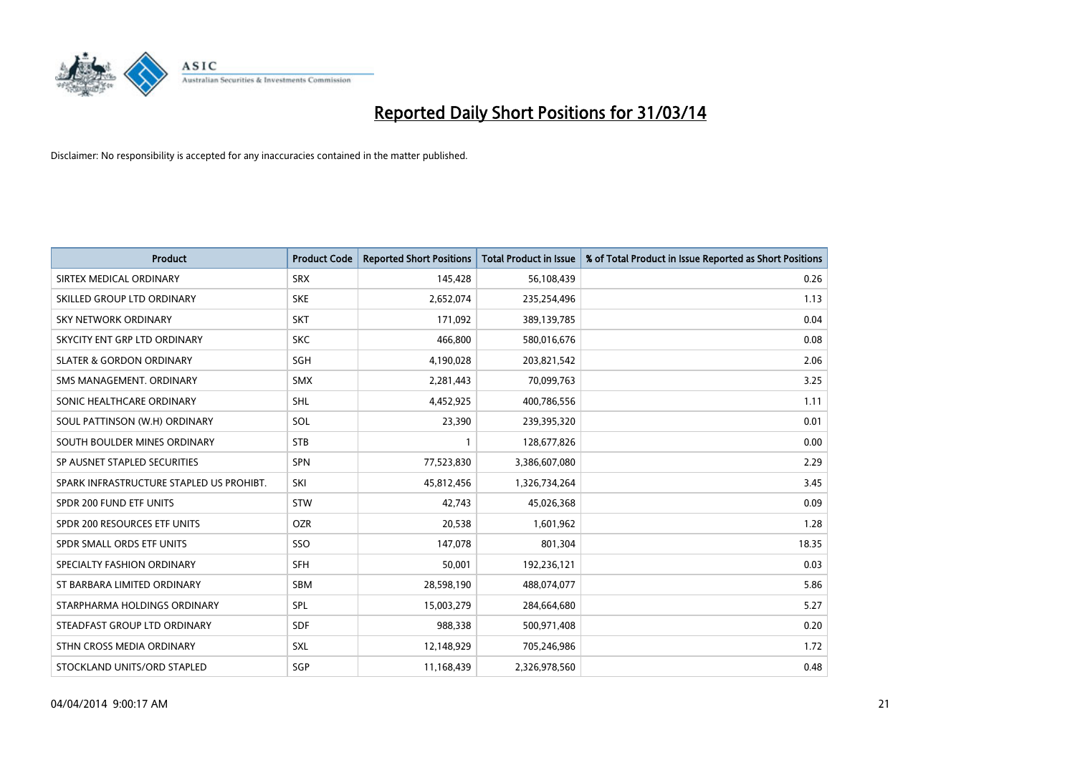

| <b>Product</b>                           | <b>Product Code</b> | <b>Reported Short Positions</b> | <b>Total Product in Issue</b> | % of Total Product in Issue Reported as Short Positions |
|------------------------------------------|---------------------|---------------------------------|-------------------------------|---------------------------------------------------------|
| SIRTEX MEDICAL ORDINARY                  | <b>SRX</b>          | 145,428                         | 56,108,439                    | 0.26                                                    |
| SKILLED GROUP LTD ORDINARY               | <b>SKE</b>          | 2,652,074                       | 235,254,496                   | 1.13                                                    |
| <b>SKY NETWORK ORDINARY</b>              | <b>SKT</b>          | 171,092                         | 389,139,785                   | 0.04                                                    |
| SKYCITY ENT GRP LTD ORDINARY             | <b>SKC</b>          | 466,800                         | 580,016,676                   | 0.08                                                    |
| <b>SLATER &amp; GORDON ORDINARY</b>      | SGH                 | 4,190,028                       | 203,821,542                   | 2.06                                                    |
| SMS MANAGEMENT, ORDINARY                 | SMX                 | 2,281,443                       | 70,099,763                    | 3.25                                                    |
| SONIC HEALTHCARE ORDINARY                | <b>SHL</b>          | 4,452,925                       | 400,786,556                   | 1.11                                                    |
| SOUL PATTINSON (W.H) ORDINARY            | SOL                 | 23,390                          | 239,395,320                   | 0.01                                                    |
| SOUTH BOULDER MINES ORDINARY             | <b>STB</b>          |                                 | 128,677,826                   | 0.00                                                    |
| SP AUSNET STAPLED SECURITIES             | <b>SPN</b>          | 77,523,830                      | 3,386,607,080                 | 2.29                                                    |
| SPARK INFRASTRUCTURE STAPLED US PROHIBT. | SKI                 | 45,812,456                      | 1,326,734,264                 | 3.45                                                    |
| SPDR 200 FUND ETF UNITS                  | <b>STW</b>          | 42,743                          | 45,026,368                    | 0.09                                                    |
| SPDR 200 RESOURCES ETF UNITS             | <b>OZR</b>          | 20,538                          | 1,601,962                     | 1.28                                                    |
| SPDR SMALL ORDS ETF UNITS                | SSO                 | 147,078                         | 801,304                       | 18.35                                                   |
| SPECIALTY FASHION ORDINARY               | <b>SFH</b>          | 50,001                          | 192,236,121                   | 0.03                                                    |
| ST BARBARA LIMITED ORDINARY              | SBM                 | 28,598,190                      | 488,074,077                   | 5.86                                                    |
| STARPHARMA HOLDINGS ORDINARY             | SPL                 | 15,003,279                      | 284,664,680                   | 5.27                                                    |
| STEADFAST GROUP LTD ORDINARY             | <b>SDF</b>          | 988,338                         | 500,971,408                   | 0.20                                                    |
| STHN CROSS MEDIA ORDINARY                | SXL                 | 12,148,929                      | 705,246,986                   | 1.72                                                    |
| STOCKLAND UNITS/ORD STAPLED              | SGP                 | 11,168,439                      | 2,326,978,560                 | 0.48                                                    |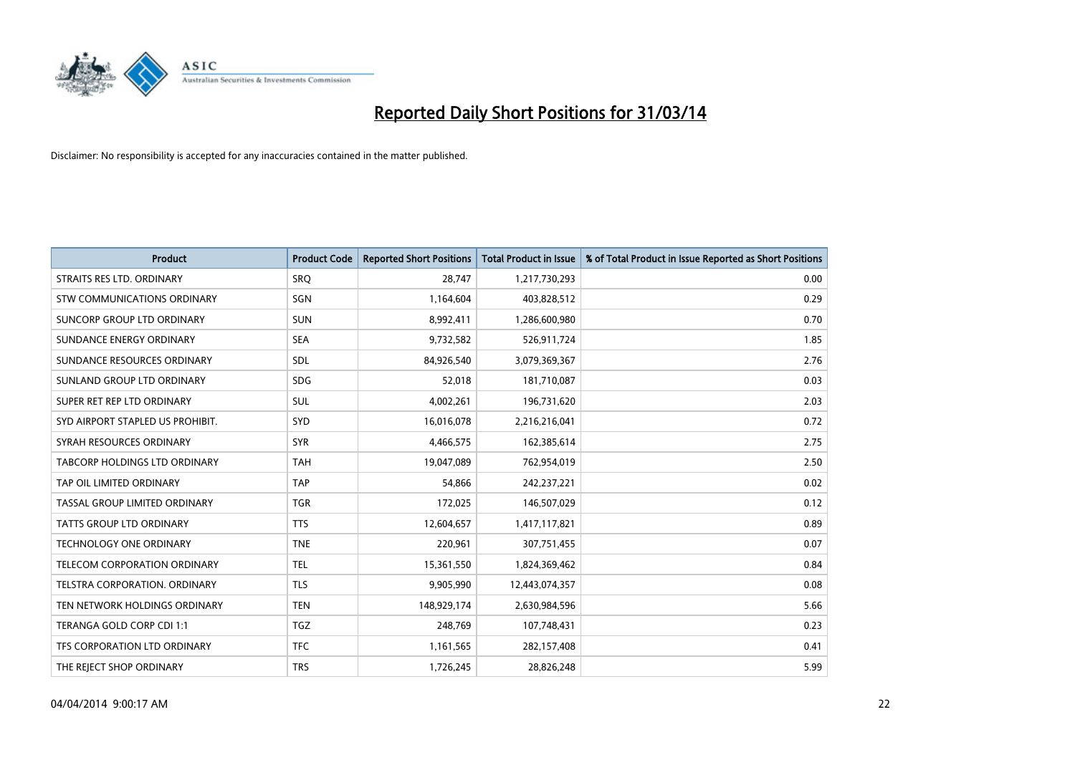

| <b>Product</b>                   | <b>Product Code</b> | <b>Reported Short Positions</b> | <b>Total Product in Issue</b> | % of Total Product in Issue Reported as Short Positions |
|----------------------------------|---------------------|---------------------------------|-------------------------------|---------------------------------------------------------|
| STRAITS RES LTD. ORDINARY        | <b>SRO</b>          | 28,747                          | 1,217,730,293                 | 0.00                                                    |
| STW COMMUNICATIONS ORDINARY      | SGN                 | 1,164,604                       | 403,828,512                   | 0.29                                                    |
| SUNCORP GROUP LTD ORDINARY       | <b>SUN</b>          | 8,992,411                       | 1,286,600,980                 | 0.70                                                    |
| SUNDANCE ENERGY ORDINARY         | <b>SEA</b>          | 9,732,582                       | 526,911,724                   | 1.85                                                    |
| SUNDANCE RESOURCES ORDINARY      | SDL                 | 84,926,540                      | 3,079,369,367                 | 2.76                                                    |
| SUNLAND GROUP LTD ORDINARY       | <b>SDG</b>          | 52,018                          | 181,710,087                   | 0.03                                                    |
| SUPER RET REP LTD ORDINARY       | SUL                 | 4,002,261                       | 196,731,620                   | 2.03                                                    |
| SYD AIRPORT STAPLED US PROHIBIT. | <b>SYD</b>          | 16,016,078                      | 2,216,216,041                 | 0.72                                                    |
| SYRAH RESOURCES ORDINARY         | <b>SYR</b>          | 4,466,575                       | 162,385,614                   | 2.75                                                    |
| TABCORP HOLDINGS LTD ORDINARY    | <b>TAH</b>          | 19,047,089                      | 762,954,019                   | 2.50                                                    |
| TAP OIL LIMITED ORDINARY         | <b>TAP</b>          | 54,866                          | 242,237,221                   | 0.02                                                    |
| TASSAL GROUP LIMITED ORDINARY    | <b>TGR</b>          | 172,025                         | 146,507,029                   | 0.12                                                    |
| TATTS GROUP LTD ORDINARY         | <b>TTS</b>          | 12,604,657                      | 1,417,117,821                 | 0.89                                                    |
| <b>TECHNOLOGY ONE ORDINARY</b>   | <b>TNE</b>          | 220,961                         | 307,751,455                   | 0.07                                                    |
| TELECOM CORPORATION ORDINARY     | <b>TEL</b>          | 15,361,550                      | 1,824,369,462                 | 0.84                                                    |
| TELSTRA CORPORATION, ORDINARY    | <b>TLS</b>          | 9,905,990                       | 12,443,074,357                | 0.08                                                    |
| TEN NETWORK HOLDINGS ORDINARY    | <b>TEN</b>          | 148,929,174                     | 2,630,984,596                 | 5.66                                                    |
| TERANGA GOLD CORP CDI 1:1        | <b>TGZ</b>          | 248,769                         | 107,748,431                   | 0.23                                                    |
| TFS CORPORATION LTD ORDINARY     | <b>TFC</b>          | 1,161,565                       | 282,157,408                   | 0.41                                                    |
| THE REJECT SHOP ORDINARY         | <b>TRS</b>          | 1,726,245                       | 28,826,248                    | 5.99                                                    |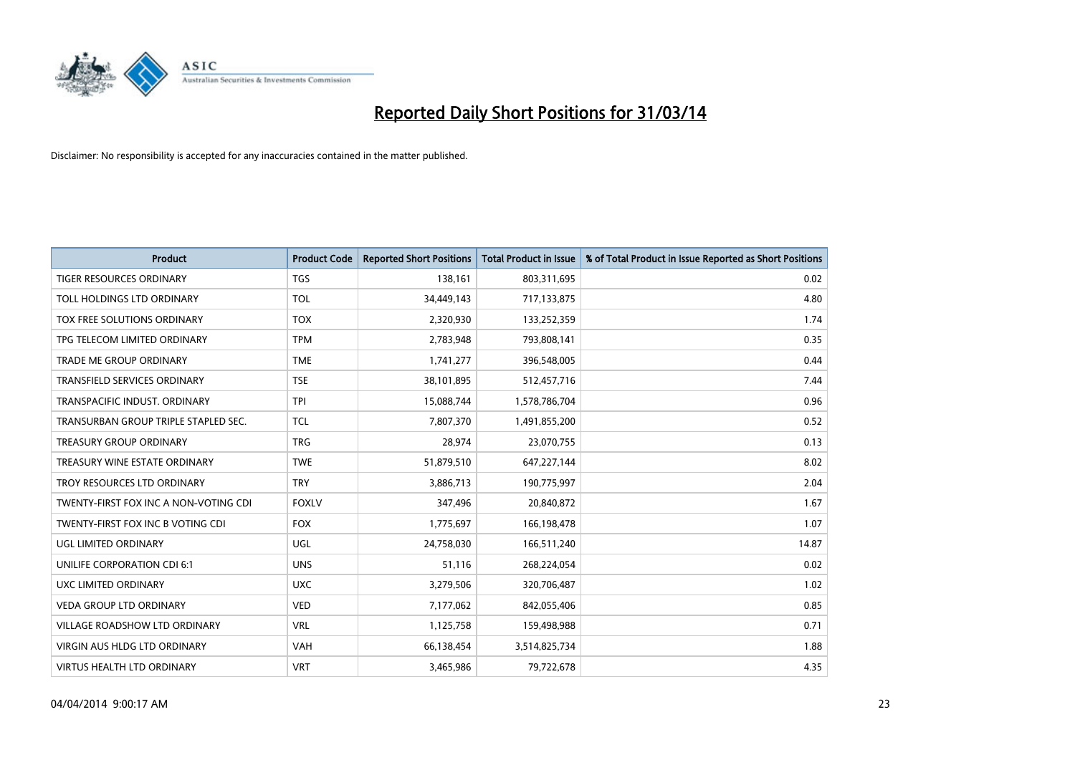

| Product                               | <b>Product Code</b> | <b>Reported Short Positions</b> | <b>Total Product in Issue</b> | % of Total Product in Issue Reported as Short Positions |
|---------------------------------------|---------------------|---------------------------------|-------------------------------|---------------------------------------------------------|
| <b>TIGER RESOURCES ORDINARY</b>       | <b>TGS</b>          | 138,161                         | 803,311,695                   | 0.02                                                    |
| TOLL HOLDINGS LTD ORDINARY            | <b>TOL</b>          | 34,449,143                      | 717,133,875                   | 4.80                                                    |
| TOX FREE SOLUTIONS ORDINARY           | <b>TOX</b>          | 2,320,930                       | 133,252,359                   | 1.74                                                    |
| TPG TELECOM LIMITED ORDINARY          | <b>TPM</b>          | 2,783,948                       | 793,808,141                   | 0.35                                                    |
| <b>TRADE ME GROUP ORDINARY</b>        | <b>TME</b>          | 1,741,277                       | 396,548,005                   | 0.44                                                    |
| <b>TRANSFIELD SERVICES ORDINARY</b>   | <b>TSE</b>          | 38,101,895                      | 512,457,716                   | 7.44                                                    |
| TRANSPACIFIC INDUST, ORDINARY         | <b>TPI</b>          | 15,088,744                      | 1,578,786,704                 | 0.96                                                    |
| TRANSURBAN GROUP TRIPLE STAPLED SEC.  | <b>TCL</b>          | 7,807,370                       | 1,491,855,200                 | 0.52                                                    |
| <b>TREASURY GROUP ORDINARY</b>        | <b>TRG</b>          | 28,974                          | 23,070,755                    | 0.13                                                    |
| TREASURY WINE ESTATE ORDINARY         | <b>TWE</b>          | 51,879,510                      | 647,227,144                   | 8.02                                                    |
| TROY RESOURCES LTD ORDINARY           | <b>TRY</b>          | 3,886,713                       | 190,775,997                   | 2.04                                                    |
| TWENTY-FIRST FOX INC A NON-VOTING CDI | <b>FOXLV</b>        | 347,496                         | 20,840,872                    | 1.67                                                    |
| TWENTY-FIRST FOX INC B VOTING CDI     | <b>FOX</b>          | 1,775,697                       | 166,198,478                   | 1.07                                                    |
| UGL LIMITED ORDINARY                  | UGL                 | 24,758,030                      | 166,511,240                   | 14.87                                                   |
| UNILIFE CORPORATION CDI 6:1           | <b>UNS</b>          | 51,116                          | 268,224,054                   | 0.02                                                    |
| UXC LIMITED ORDINARY                  | <b>UXC</b>          | 3,279,506                       | 320,706,487                   | 1.02                                                    |
| VEDA GROUP LTD ORDINARY               | <b>VED</b>          | 7,177,062                       | 842,055,406                   | 0.85                                                    |
| VILLAGE ROADSHOW LTD ORDINARY         | <b>VRL</b>          | 1,125,758                       | 159,498,988                   | 0.71                                                    |
| <b>VIRGIN AUS HLDG LTD ORDINARY</b>   | <b>VAH</b>          | 66,138,454                      | 3,514,825,734                 | 1.88                                                    |
| VIRTUS HEALTH LTD ORDINARY            | <b>VRT</b>          | 3,465,986                       | 79,722,678                    | 4.35                                                    |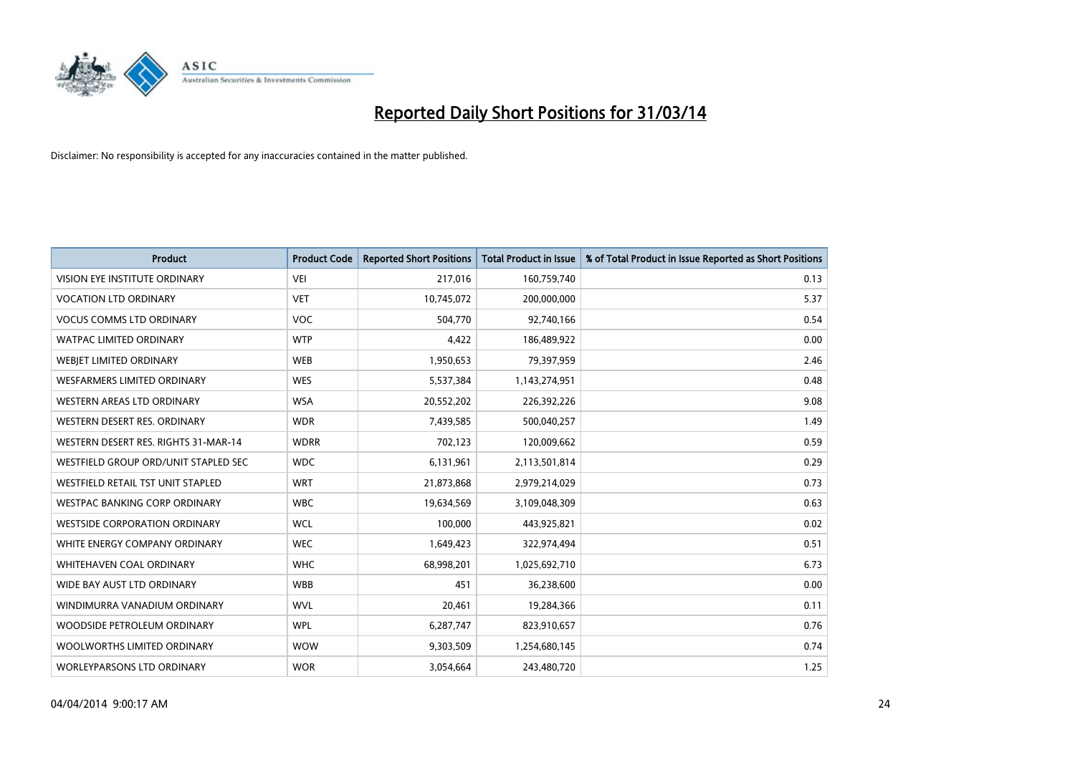

| <b>Product</b>                       | <b>Product Code</b> | <b>Reported Short Positions</b> | <b>Total Product in Issue</b> | % of Total Product in Issue Reported as Short Positions |
|--------------------------------------|---------------------|---------------------------------|-------------------------------|---------------------------------------------------------|
| VISION EYE INSTITUTE ORDINARY        | <b>VEI</b>          | 217,016                         | 160,759,740                   | 0.13                                                    |
| <b>VOCATION LTD ORDINARY</b>         | <b>VET</b>          | 10,745,072                      | 200,000,000                   | 5.37                                                    |
| <b>VOCUS COMMS LTD ORDINARY</b>      | <b>VOC</b>          | 504,770                         | 92,740,166                    | 0.54                                                    |
| <b>WATPAC LIMITED ORDINARY</b>       | <b>WTP</b>          | 4,422                           | 186,489,922                   | 0.00                                                    |
| WEBIET LIMITED ORDINARY              | <b>WEB</b>          | 1,950,653                       | 79,397,959                    | 2.46                                                    |
| <b>WESFARMERS LIMITED ORDINARY</b>   | <b>WES</b>          | 5,537,384                       | 1,143,274,951                 | 0.48                                                    |
| WESTERN AREAS LTD ORDINARY           | <b>WSA</b>          | 20,552,202                      | 226,392,226                   | 9.08                                                    |
| WESTERN DESERT RES. ORDINARY         | <b>WDR</b>          | 7,439,585                       | 500,040,257                   | 1.49                                                    |
| WESTERN DESERT RES. RIGHTS 31-MAR-14 | <b>WDRR</b>         | 702,123                         | 120,009,662                   | 0.59                                                    |
| WESTFIELD GROUP ORD/UNIT STAPLED SEC | <b>WDC</b>          | 6,131,961                       | 2,113,501,814                 | 0.29                                                    |
| WESTFIELD RETAIL TST UNIT STAPLED    | <b>WRT</b>          | 21,873,868                      | 2,979,214,029                 | 0.73                                                    |
| <b>WESTPAC BANKING CORP ORDINARY</b> | <b>WBC</b>          | 19,634,569                      | 3,109,048,309                 | 0.63                                                    |
| <b>WESTSIDE CORPORATION ORDINARY</b> | <b>WCL</b>          | 100,000                         | 443,925,821                   | 0.02                                                    |
| WHITE ENERGY COMPANY ORDINARY        | <b>WEC</b>          | 1,649,423                       | 322,974,494                   | 0.51                                                    |
| WHITEHAVEN COAL ORDINARY             | <b>WHC</b>          | 68,998,201                      | 1,025,692,710                 | 6.73                                                    |
| WIDE BAY AUST LTD ORDINARY           | <b>WBB</b>          | 451                             | 36,238,600                    | 0.00                                                    |
| WINDIMURRA VANADIUM ORDINARY         | <b>WVL</b>          | 20,461                          | 19,284,366                    | 0.11                                                    |
| WOODSIDE PETROLEUM ORDINARY          | <b>WPL</b>          | 6,287,747                       | 823,910,657                   | 0.76                                                    |
| WOOLWORTHS LIMITED ORDINARY          | <b>WOW</b>          | 9,303,509                       | 1,254,680,145                 | 0.74                                                    |
| WORLEYPARSONS LTD ORDINARY           | <b>WOR</b>          | 3,054,664                       | 243,480,720                   | 1.25                                                    |